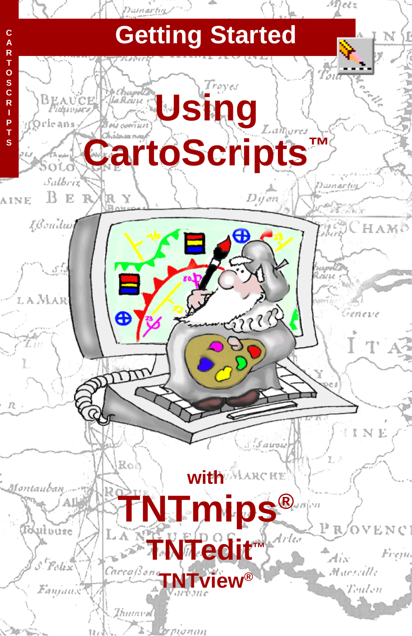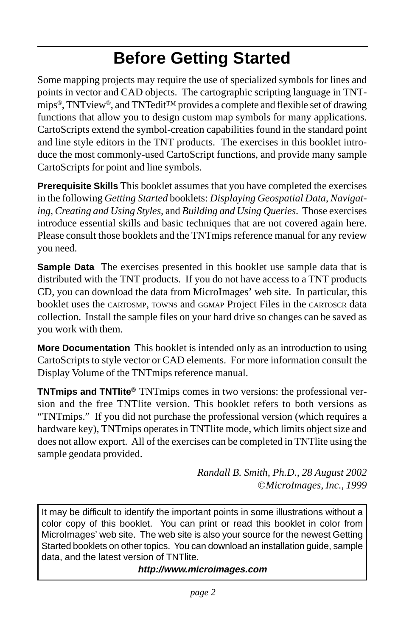## **Before Getting Started**

Some mapping projects may require the use of specialized symbols for lines and points in vector and CAD objects. The cartographic scripting language in TNTmips®, TNTview®, and TNTedit™ provides a complete and flexible set of drawing functions that allow you to design custom map symbols for many applications. CartoScripts extend the symbol-creation capabilities found in the standard point and line style editors in the TNT products. The exercises in this booklet introduce the most commonly-used CartoScript functions, and provide many sample CartoScripts for point and line symbols.

**Prerequisite Skills** This booklet assumes that you have completed the exercises in the following *Getting Started* booklets: *Displaying Geospatial Data*, *Navigating*, *Creating and Using Styles,* and *Building and Using Queries*. Those exercises introduce essential skills and basic techniques that are not covered again here. Please consult those booklets and the TNTmips reference manual for any review you need.

**Sample Data** The exercises presented in this booklet use sample data that is distributed with the TNT products. If you do not have access to a TNT products CD, you can download the data from MicroImages' web site. In particular, this booklet uses the CARTOSMP, TOWNS and GGMAP Project Files in the CARTOSCR data collection. Install the sample files on your hard drive so changes can be saved as you work with them.

**More Documentation** This booklet is intended only as an introduction to using CartoScripts to style vector or CAD elements. For more information consult the Display Volume of the TNTmips reference manual.

**TNTmips and TNTlite®** TNTmips comes in two versions: the professional version and the free TNTlite version. This booklet refers to both versions as "TNTmips." If you did not purchase the professional version (which requires a hardware key), TNTmips operates in TNTlite mode, which limits object size and does not allow export. All of the exercises can be completed in TNTlite using the sample geodata provided.

> *Randall B. Smith, Ph.D., 28 August 2002* ©*MicroImages, Inc., 1999*

It may be difficult to identify the important points in some illustrations without a color copy of this booklet. You can print or read this booklet in color from MicroImages' web site. The web site is also your source for the newest Getting Started booklets on other topics. You can download an installation guide, sample data, and the latest version of TNTlite.

**http://www.microimages.com**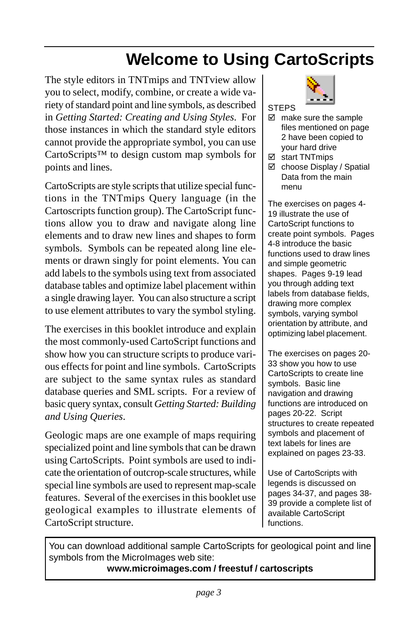## **Welcome to Using CartoScripts**

The style editors in TNTmips and TNTview allow you to select, modify, combine, or create a wide variety of standard point and line symbols, as described in *Getting Started: Creating and Using Styles*. For those instances in which the standard style editors cannot provide the appropriate symbol, you can use CartoScripts™ to design custom map symbols for points and lines.

CartoScripts are style scripts that utilize special functions in the TNTmips Query language (in the Cartoscripts function group). The CartoScript functions allow you to draw and navigate along line elements and to draw new lines and shapes to form symbols. Symbols can be repeated along line elements or drawn singly for point elements. You can add labels to the symbols using text from associated database tables and optimize label placement within a single drawing layer. You can also structure a script to use element attributes to vary the symbol styling.

The exercises in this booklet introduce and explain the most commonly-used CartoScript functions and show how you can structure scripts to produce various effects for point and line symbols. CartoScripts are subject to the same syntax rules as standard database queries and SML scripts. For a review of basic query syntax, consult *Getting Started: Building and Using Queries*.

Geologic maps are one example of maps requiring specialized point and line symbols that can be drawn using CartoScripts. Point symbols are used to indicate the orientation of outcrop-scale structures, while special line symbols are used to represent map-scale features. Several of the exercises in this booklet use geological examples to illustrate elements of CartoScript structure.



- $\boxtimes$  make sure the sample files mentioned on page 2 have been copied to your hard drive
- start TNTmips

**STEPS** 

 choose Display / Spatial Data from the main menu

The exercises on pages 4- 19 illustrate the use of CartoScript functions to create point symbols. Pages 4-8 introduce the basic functions used to draw lines and simple geometric shapes. Pages 9-19 lead you through adding text labels from database fields, drawing more complex symbols, varying symbol orientation by attribute, and optimizing label placement.

The exercises on pages 20- 33 show you how to use CartoScripts to create line symbols. Basic line navigation and drawing functions are introduced on pages 20-22. Script structures to create repeated symbols and placement of text labels for lines are explained on pages 23-33.

Use of CartoScripts with legends is discussed on pages 34-37, and pages 38- 39 provide a complete list of available CartoScript functions.

You can download additional sample CartoScripts for geological point and line symbols from the MicroImages web site:

**www.microimages.com / freestuf / cartoscripts**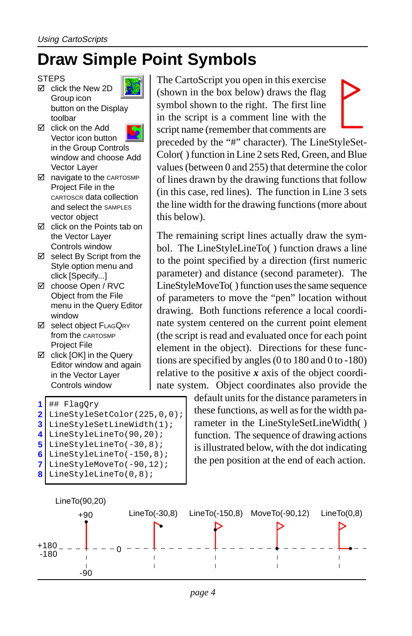## **Draw Simple Point Symbols**

**STEPS** 

**Ø** click the New 2D Group icon button on the Display toolbar



- □ click on the Add Vector icon button in the Group Controls window and choose Add Vector Layer
- navigate to the CARTOSMP Project File in the CARTOSCR data collection and select the SAMPLES vector object
- $\boxtimes$  click on the Points tab on the Vector Layer Controls window
- $\boxtimes$  select By Script from the Style option menu and click [Specify...]
- choose Open / RVC Object from the File menu in the Query Editor window
- **Ø** select object FLAGQRY from the CARTOSMP Project File
- $\boxtimes$  click [OK] in the Query Editor window and again in the Vector Layer Controls window

## FlagQry LineStyleSetColor(225,0,0); **2** LineStyleSetLineWidth(1); LineStyleLineTo(90,20); **4** LineStyleLineTo(-30,8); **5** LineStyleLineTo(-150,8); **6** LineStyleMoveTo(-90,12); LineStyleLineTo(0,8); **1 3 7 8**

The CartoScript you open in this exercise (shown in the box below) draws the flag symbol shown to the right. The first line in the script is a comment line with the script name (remember that comments are

preceded by the "#" character). The LineStyleSet-Color( ) function in Line 2 sets Red, Green, and Blue values (between 0 and 255) that determine the color of lines drawn by the drawing functions that follow (in this case, red lines). The function in Line 3 sets the line width for the drawing functions (more about this below).

The remaining script lines actually draw the symbol. The LineStyleLineTo( ) function draws a line to the point specified by a direction (first numeric parameter) and distance (second parameter). The LineStyleMoveTo( ) function uses the same sequence of parameters to move the "pen" location without drawing. Both functions reference a local coordinate system centered on the current point element (the script is read and evaluated once for each point element in the object). Directions for these functions are specified by angles (0 to 180 and 0 to -180) relative to the positive *x* axis of the object coordinate system. Object coordinates also provide the

> default units for the distance parameters in these functions, as well as for the width parameter in the LineStyleSetLineWidth( ) function. The sequence of drawing actions is illustrated below, with the dot indicating the pen position at the end of each action.

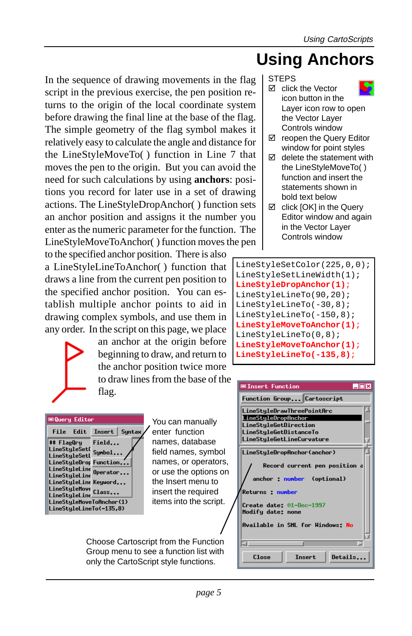## **Using Anchors**

**STEPS** 

- **☑** click the Vector icon button in the Layer icon row to open the Vector Layer Controls window
- **Ø** reopen the Query Editor window for point styles
- $\boxtimes$  delete the statement with the LineStyleMoveTo( ) function and insert the statements shown in bold text below
- $\boxtimes$  click [OK] in the Query Editor window and again in the Vector Layer Controls window

LineStyleSetColor(225,0,0); LineStyleSetLineWidth(1); **LineStyleDropAnchor(1)**; LineStyleLineTo(90,20); LineStyleLineTo(-30,8); LineStyleLineTo(-150,8); **LineStyleMoveToAnchor(1)**; LineStyleLineTo(0,8); **LineStyleMoveToAnchor(1)**; **LineStyleLineTo(-135,8)**;



In the sequence of drawing movements in the flag script in the previous exercise, the pen position returns to the origin of the local coordinate system before drawing the final line at the base of the flag. The simple geometry of the flag symbol makes it relatively easy to calculate the angle and distance for the LineStyleMoveTo( ) function in Line 7 that moves the pen to the origin. But you can avoid the need for such calculations by using **anchors**: positions you record for later use in a set of drawing actions. The LineStyleDropAnchor( ) function sets an anchor position and assigns it the number you enter as the numeric parameter for the function. The LineStyleMoveToAnchor( ) function moves the pen

to the specified anchor position. There is also a LineStyleLineToAnchor( ) function that draws a line from the current pen position to the specified anchor position. You can establish multiple anchor points to aid in drawing complex symbols, and use them in any order. In the script on this page, we place



an anchor at the origin before beginning to draw, and return to the anchor position twice more to draw lines from the base of the flag.



You can manually enter function names, database field names, symbol names, or operators, or use the options on the Insert menu to insert the required items into the script.

Choose Cartoscript from the Function Group menu to see a function list with only the CartoScript style functions.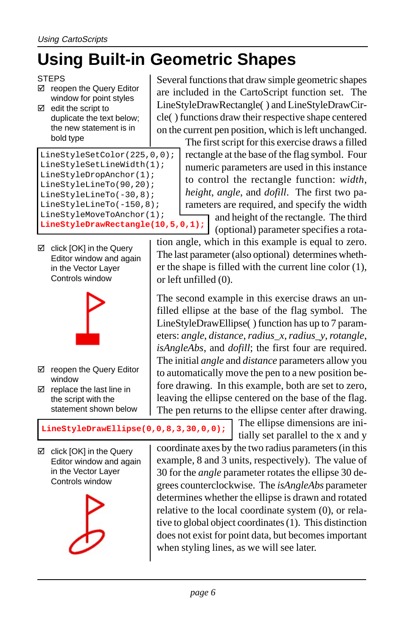# **Using Built-in Geometric Shapes**

#### **STEPS**

- reopen the Query Editor window for point styles
- $\boxtimes$  edit the script to duplicate the text below; the new statement is in bold type

```
LineStyleSetColor(225,0,0);
LineStyleSetLineWidth(1);
LineStyleDropAnchor(1);
LineStyleLineTo(90,20);
LineStyleLineTo(-30,8);
LineStyleLineTo(-150,8);
LineStyleMoveToAnchor(1);
LineStyleDrawRectangle(10,5,0,1);
```
 $\boxtimes$  click [OK] in the Query Editor window and again in the Vector Layer Controls window



- reopen the Query Editor window
- $\boxtimes$  replace the last line in the script with the statement shown below

**LineStyleDrawEllipse(0,0,8,3,30,0,0);**

 $\boxtimes$  click [OK] in the Query Editor window and again in the Vector Layer Controls window



Several functions that draw simple geometric shapes are included in the CartoScript function set. The LineStyleDrawRectangle( ) and LineStyleDrawCircle( ) functions draw their respective shape centered on the current pen position, which is left unchanged.

> The first script for this exercise draws a filled rectangle at the base of the flag symbol. Four numeric parameters are used in this instance to control the rectangle function: *width*, *height*, *angle*, and *dofill*. The first two parameters are required, and specify the width and height of the rectangle. The third

(optional) parameter specifies a rota-

tion angle, which in this example is equal to zero. The last parameter (also optional) determines whether the shape is filled with the current line color (1), or left unfilled (0).

The second example in this exercise draws an unfilled ellipse at the base of the flag symbol. The LineStyleDrawEllipse( ) function has up to 7 parameters: *angle*, *distance*, *radius\_x*, *radius\_y*, *rotangle*, *isAngleAbs*, and *dofill*; the first four are required. The initial *angle* and *distance* parameters allow you to automatically move the pen to a new position before drawing. In this example, both are set to zero, leaving the ellipse centered on the base of the flag. The pen returns to the ellipse center after drawing.

The ellipse dimensions are initially set parallel to the x and y

coordinate axes by the two radius parameters (in this example, 8 and 3 units, respectively). The value of 30 for the *angle* parameter rotates the ellipse 30 degrees counterclockwise. The *isAngleAbs* parameter determines whether the ellipse is drawn and rotated relative to the local coordinate system (0), or relative to global object coordinates (1). This distinction does not exist for point data, but becomes important when styling lines, as we will see later.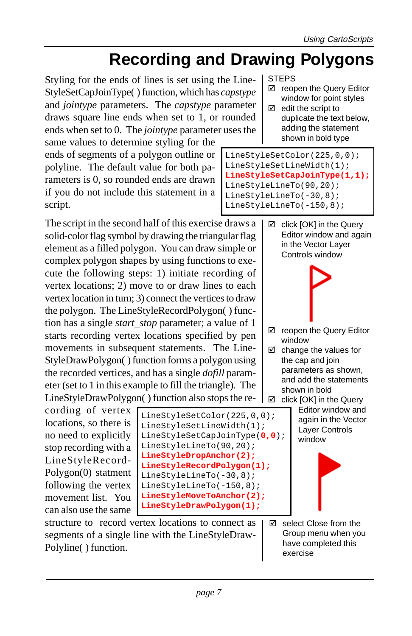## **Recording and Drawing Polygons**

Styling for the ends of lines is set using the Line-StyleSetCapJoinType( ) function, which has *capstype* and *jointype* parameters. The *capstype* parameter draws square line ends when set to 1, or rounded ends when set to 0. The *jointype* parameter uses the

same values to determine styling for the ends of segments of a polygon outline or polyline. The default value for both parameters is 0, so rounded ends are drawn if you do not include this statement in a script.

The script in the second half of this exercise draws a solid-color flag symbol by drawing the triangular flag element as a filled polygon. You can draw simple or complex polygon shapes by using functions to execute the following steps: 1) initiate recording of vertex locations; 2) move to or draw lines to each vertex location in turn; 3) connect the vertices to draw the polygon. The LineStyleRecordPolygon( ) function has a single *start\_stop* parameter; a value of 1 starts recording vertex locations specified by pen movements in subsequent statements. The Line-StyleDrawPolygon( ) function forms a polygon using the recorded vertices, and has a single *dofill* parameter (set to 1 in this example to fill the triangle). The LineStyleDrawPolygon( ) function also stops the re-

cording of vertex locations, so there is no need to explicitly stop recording with a LineStyleRecord-Polygon(0) statment following the vertex movement list. You can also use the same

| LineStyleSetColor(225,0,0);<br>LineStyleSetLineWidth(1);<br>LineStyleSetCapJoinType(0,0);<br>LineStyleLineTo(90,20); |
|----------------------------------------------------------------------------------------------------------------------|
| LineStyleDropAnchor(2);                                                                                              |
| LineStyleRecordPolygon(1);                                                                                           |
|                                                                                                                      |
| $LineStyleLineTo(-30,8);$                                                                                            |
| $LineStyleLineTo(-150,8);$<br>LineStyleMoveToAnchor(2);                                                              |
| LineStyleDrawPolygon(1);                                                                                             |
|                                                                                                                      |

structure to record vertex locations to connect as segments of a single line with the LineStyleDraw-Polyline( ) function.

#### STEPS

- reopen the Query Editor window for point styles
- $\boxtimes$  edit the script to duplicate the text below, adding the statement shown in bold type

```
LineStyleSetColor(225,0,0);
LineStyleSetLineWidth(1);
LineStyleSetCapJoinType(1,1);
LineStyleLineTo(90,20);
LineStyleLineTo(-30,8);
LineStyleLineTo(-150,8);
```
 $\boxtimes$  click [OK] in the Query Editor window and again in the Vector Layer Controls window



- reopen the Query Editor window
- $\boxtimes$  change the values for the cap and join parameters as shown, and add the statements shown in bold

 $\boxtimes$  click [OK] in the Query Editor window and again in the Vector Layer Controls window



 $\boxtimes$  select Close from the Group menu when you have completed this exercise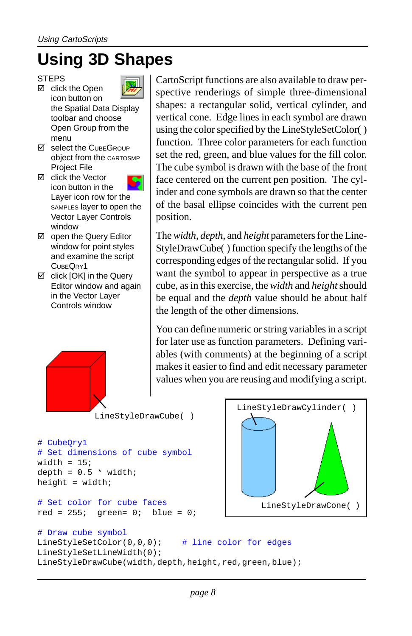### **Using 3D Shapes**

#### **STEPS**

- **Ø** click the Open icon button on the Spatial Data Display toolbar and choose Open Group from the menu
- select the CUBEGROUP object from the CARTOSMP Project File **Ø** click the Vector

icon button in the

- 
- Layer icon row for the SAMPLES layer to open the Vector Layer Controls window
- $\boxtimes$  open the Query Editor window for point styles and examine the script CUBEQRY1
- $\boxtimes$  click [OK] in the Query Editor window and again in the Vector Layer Controls window



CartoScript functions are also available to draw perspective renderings of simple three-dimensional shapes: a rectangular solid, vertical cylinder, and vertical cone. Edge lines in each symbol are drawn using the color specified by the LineStyleSetColor( ) function. Three color parameters for each function set the red, green, and blue values for the fill color. The cube symbol is drawn with the base of the front face centered on the current pen position. The cylinder and cone symbols are drawn so that the center of the basal ellipse coincides with the current pen position.

The *width*, *depth*, and *height* parameters for the Line-StyleDrawCube( ) function specify the lengths of the corresponding edges of the rectangular solid. If you want the symbol to appear in perspective as a true cube, as in this exercise, the *width* and *height* should be equal and the *depth* value should be about half the length of the other dimensions.

You can define numeric or string variables in a script for later use as function parameters. Defining variables (with comments) at the beginning of a script makes it easier to find and edit necessary parameter values when you are reusing and modifying a script.



LineStyleDrawCube( )

```
# CubeQry1
# Set dimensions of cube symbol
width = 15;depth = 0.5 * width;height = width;
```

```
# Set color for cube faces
red = 255; green= 0; blue = 0;
```
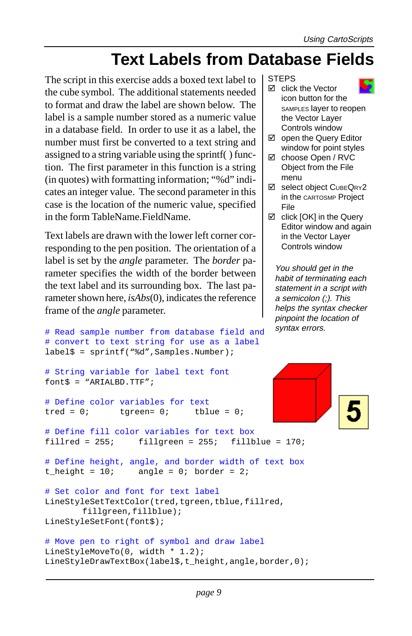## **Text Labels from Database Fields**

The script in this exercise adds a boxed text label to the cube symbol. The additional statements needed to format and draw the label are shown below. The label is a sample number stored as a numeric value in a database field. In order to use it as a label, the number must first be converted to a text string and assigned to a string variable using the sprintf( ) function. The first parameter in this function is a string (in quotes) with formatting information; "%d" indicates an integer value. The second parameter in this case is the location of the numeric value, specified in the form TableName.FieldName.

Text labels are drawn with the lower left corner corresponding to the pen position. The orientation of a label is set by the *angle* parameter. The *border* parameter specifies the width of the border between the text label and its surrounding box. The last parameter shown here, *isAbs*(0), indicates the reference frame of the *angle* parameter.

```
# Read sample number from database field and
# convert to text string for use as a label
label$ = sprintf("%d",Samples.Number);
```

```
# String variable for label text font
fontS = "ARIALBD.TTF";
```

```
# Define color variables for text
tred = 0; tgreen = 0; tblue = 0;
```

```
# Define fill color variables for text box
fillred = 255; fillgreen = 255; fillblue = 170;
```

```
# Define height, angle, and border width of text box
t_{\text{height}} = 10; angle = 0; border = 2;
```

```
# Set color and font for text label
LineStyleSetTextColor(tred,tgreen,tblue,fillred,
       fillgreen,fillblue);
LineStyleSetFont(font$);
```

```
# Move pen to right of symbol and draw label
LineStyleMoveTo(0, width * 1.2);
LineStyleDrawTextBox(label$,t_height,angle,border,0);
```
#### **STEPS**



- open the Query Editor window for point styles
- choose Open / RVC Object from the File menu
- select object CUBEQRY2 in the CARTOSMP Project File
- $\boxtimes$  click [OK] in the Query Editor window and again in the Vector Layer Controls window

You should get in the habit of terminating each statement in a script with a semicolon (;). This helps the syntax checker pinpoint the location of syntax errors.

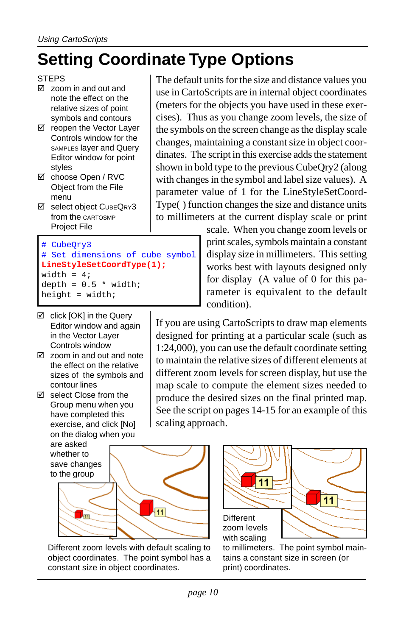## **Setting Coordinate Type Options**

#### **STEPS**

- zoom in and out and note the effect on the relative sizes of point symbols and contours
- **Ø** reopen the Vector Layer Controls window for the SAMPLES layer and Query Editor window for point styles
- choose Open / RVC Object from the File menu
- select object CUBEQRY3 from the CARTOSMP Project File

# CubeQry3

```
# Set dimensions of cube symbol
LineStyleSetCoordType(1);
width = 4;
depth = 0.5 * width;height = width;
```
- $\boxtimes$  click [OK] in the Query Editor window and again in the Vector Layer Controls window
- $\boxtimes$  zoom in and out and note the effect on the relative sizes of the symbols and contour lines
- select Close from the Group menu when you have completed this exercise, and click [No] on the dialog when you

are asked whether to to the group The default units for the size and distance values you use in CartoScripts are in internal object coordinates (meters for the objects you have used in these exercises). Thus as you change zoom levels, the size of the symbols on the screen change as the display scale changes, maintaining a constant size in object coordinates. The script in this exercise adds the statement shown in bold type to the previous CubeQry2 (along with changes in the symbol and label size values). A parameter value of 1 for the LineStyleSetCoord-Type( ) function changes the size and distance units to millimeters at the current display scale or print

scale. When you change zoom levels or print scales, symbols maintain a constant display size in millimeters. This setting works best with layouts designed only for display (A value of 0 for this parameter is equivalent to the default condition).

If you are using CartoScripts to draw map elements designed for printing at a particular scale (such as 1:24,000), you can use the default coordinate setting to maintain the relative sizes of different elements at different zoom levels for screen display, but use the map scale to compute the element sizes needed to produce the desired sizes on the final printed map. See the script on pages 14-15 for an example of this scaling approach.



Different zoom levels with default scaling to object coordinates. The point symbol has a constant size in object coordinates.



to millimeters. The point symbol maintains a constant size in screen (or print) coordinates.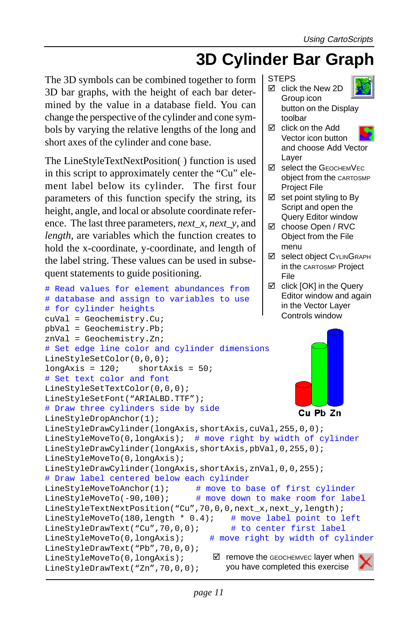### **3D Cylinder Bar Graph STEPS**

The 3D symbols can be combined together to form 3D bar graphs, with the height of each bar determined by the value in a database field. You can change the perspective of the cylinder and cone symbols by varying the relative lengths of the long and short axes of the cylinder and cone base.

The LineStyleTextNextPosition( ) function is used in this script to approximately center the "Cu" element label below its cylinder. The first four parameters of this function specify the string, its height, angle, and local or absolute coordinate reference. The last three parameters, *next\_x*, *next\_y*, and *length*, are variables which the function creates to hold the x-coordinate, y-coordinate, and length of the label string. These values can be used in subsequent statements to guide positioning.

#### $\boxtimes$  click [OK] in the Query # Read values for element abundances from # database and assign to variables to use in the Vector Layer # for cylinder heights Controls windowcuVal = Geochemistry.Cu; pbVal = Geochemistry.Pb; znVal = Geochemistry.Zn; # Set edge line color and cylinder dimensions LineStyleSetColor(0,0,0);  $longAxis = 120;$  shortAxis = 50; # Set text color and font LineStyleSetTextColor(0,0,0); LineStyleSetFont("ARIALBD.TTF"); # Draw three cylinders side by side Cu Pb Zn LineStyleDropAnchor(1); LineStyleDrawCylinder(longAxis,shortAxis,cuVal,255,0,0); LineStyleMoveTo(0,longAxis); # move right by width of cylinder LineStyleDrawCylinder(longAxis,shortAxis,pbVal,0,255,0); LineStyleMoveTo(0,longAxis); LineStyleDrawCylinder(longAxis,shortAxis,znVal,0,0,255); # Draw label centered below each cylinder LineStyleMoveToAnchor(1);  $\#$  move to base of first cylinder LineStyleMoveTo(-90,100); # move down to make room for label LineStyleTextNextPosition("Cu",70,0,0,next\_x,next\_y,length); LineStyleMoveTo(180, length  $*$  0.4); # move label point to left LineStyleDrawText("Cu",70,0,0); # to center first label LineStyleMoveTo(0,longAxis); # move right by width of cylinder LineStyleDrawText("Pb",70,0,0);  $\boxtimes$  remove the GEOCHEMVEC layer when LineStyleMoveTo(0,longAxis); you have completed this exercise LineStyleDrawText("Zn",70,0,0);



**Ø** click the New 2D

- □ click on the Add Vector icon button and choose Add Vector Layer
- **⊠** select the GEOCHEMVEC object from the CARTOSMP Project File
- $\boxtimes$  set point styling to By Script and open the Query Editor window
- choose Open / RVC Object from the File menu
- **E select object CYLINGRAPH** in the CARTOSMP Project File
- Editor window and again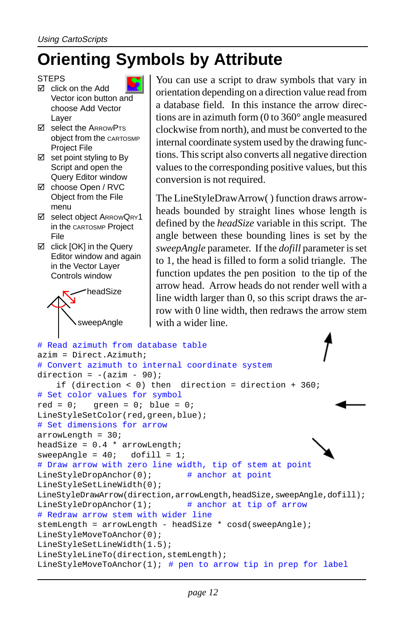### **Orienting Symbols by Attribute**

#### **STEPS**

- **☑** click on the Add Vector icon button and choose Add Vector Layer
- select the ARROWPTS object from the CARTOSMP Project File
- $\boxtimes$  set point styling to By Script and open the Query Editor window
- choose Open / RVC Object from the File menu
- select object ARROWQRY1 in the CARTOSMP Project File
- $\boxtimes$  click [OK] in the Query Editor window and again in the Vector Layer Controls window

headSize sweepAngle

You can use a script to draw symbols that vary in orientation depending on a direction value read from a database field. In this instance the arrow directions are in azimuth form (0 to 360° angle measured clockwise from north), and must be converted to the internal coordinate system used by the drawing functions. This script also converts all negative direction values to the corresponding positive values, but this conversion is not required.

The LineStyleDrawArrow( ) function draws arrowheads bounded by straight lines whose length is defined by the *headSize* variable in this script. The angle between these bounding lines is set by the *sweepAngle* parameter. If the *dofill* parameter is set to 1, the head is filled to form a solid triangle. The function updates the pen position to the tip of the arrow head. Arrow heads do not render well with a line width larger than 0, so this script draws the arrow with 0 line width, then redraws the arrow stem with a wider line.

```
# Read azimuth from database table
azim = Direct.Azimuth;
# Convert azimuth to internal coordinate system
direction = -(azim - 90);
   if (direction < 0) then direction = direction + 360;
# Set color values for symbol
red = 0; green = 0; blue = 0;LineStyleSetColor(red,green,blue);
# Set dimensions for arrow
arrowLength = 30;
headSize = 0.4 * arrowLength;
sweepAngle = 40; dofill = 1;
# Draw arrow with zero line width, tip of stem at point
LineStyleDropAnchor(0); # anchor at point
LineStyleSetLineWidth(0);
LineStyleDrawArrow(direction,arrowLength,headSize,sweepAngle,dofill);
LineStyleDropAnother(1); # anchor at tip of arrow
# Redraw arrow stem with wider line
stemLength = arrowLength - headSize * cosd(sweepAngle);
LineStyleMoveToAnchor(0);
LineStyleSetLineWidth(1.5);
LineStyleLineTo(direction,stemLength);
LineStyleMoveToAnchor(1); # pen to arrow tip in prep for label
```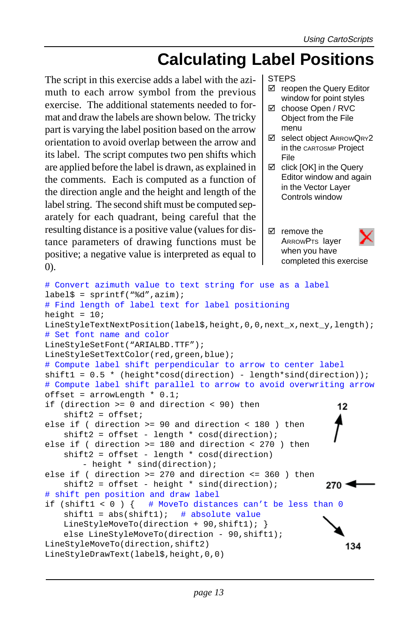## **Calculating Label Positions**

The script in this exercise adds a label with the azimuth to each arrow symbol from the previous exercise. The additional statements needed to format and draw the labels are shown below. The tricky part is varying the label position based on the arrow orientation to avoid overlap between the arrow and its label. The script computes two pen shifts which are applied before the label is drawn, as explained in the comments. Each is computed as a function of the direction angle and the height and length of the label string. The second shift must be computed separately for each quadrant, being careful that the resulting distance is a positive value (values for distance parameters of drawing functions must be positive; a negative value is interpreted as equal to 0).

#### **STEPS**

- $✓$  reopen the Query Editor window for point styles
- choose Open / RVC Object from the File menu
- select object ARROWQRY2 in the CARTOSMP Project File
- $\boxtimes$  click [OK] in the Query Editor window and again in the Vector Layer Controls window
- $\boxtimes$  remove the ARROWPTS layer when you have completed this exercise

```
# Convert azimuth value to text string for use as a label
label$ = sprintf("%d", azim);
# Find length of label text for label positioning
height = 10iLineStyleTextNextPosition(label$,height,0,0,next_x,next_y,length);
# Set font name and color
LineStyleSetFont("ARIALBD.TTF");
LineStyleSetTextColor(red,green,blue);
# Compute label shift perpendicular to arrow to center label
shift1 = 0.5 * (height * cosd(direction) - length * sind(direction));
# Compute label shift parallel to arrow to avoid overwriting arrow
offset = arrowLength * 0.1;
if (direction >= 0 and direction < 90) then
                                                            12shift2 = offset;else if ( direction >= 90 and direction < 180 ) then
   shift2 = offset - length * cosd(direction);
else if ( direction >= 180 and direction < 270 ) then
   shift2 = offset - length * cosd(direction)
       - height * sind(direction);
else if ( direction >= 270 and direction <= 360 ) then
   shift2 = offset - height * sind(direction);270 -# shift pen position and draw label
if (shift1 < 0 ) { # MoveTo distances can't be less than 0
   shift1 = abs(shift1); \# absolute value
   LineStyleMoveTo(direction + 90,shift1); }
   else LineStyleMoveTo(direction - 90, shift1);
LineStyleMoveTo(direction,shift2)
                                                             134
LineStyleDrawText(label$,height,0,0)
```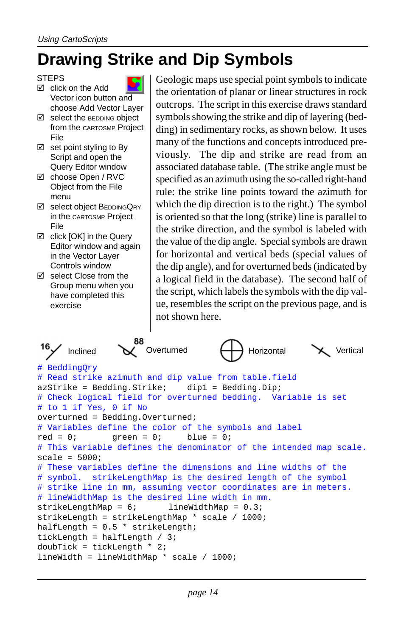### **Drawing Strike and Dip Symbols**

#### STEPS

- □ click on the Add Vector icon button and choose Add Vector Layer
- select the BEDDING object from the CARTOSMP Project File
- $\boxtimes$  set point styling to By Script and open the Query Editor window
- $\boxtimes$  choose Open / RVC Object from the File menu
- **Ø select object BEDDINGQRY** in the CARTOSMP Project File
- $\boxtimes$  click [OK] in the Query Editor window and again in the Vector Layer Controls window
- select Close from the Group menu when you have completed this exercise

```
Geologic maps use special point symbols to indicate
the orientation of planar or linear structures in rock
outcrops. The script in this exercise draws standard
symbols showing the strike and dip of layering (bed-
ding) in sedimentary rocks, as shown below. It uses
many of the functions and concepts introduced pre-
viously. The dip and strike are read from an
associated database table. (The strike angle must be
specified as an azimuth using the so-called right-hand
rule: the strike line points toward the azimuth for
which the dip direction is to the right.) The symbol
is oriented so that the long (strike) line is parallel to
the strike direction, and the symbol is labeled with
the value of the dip angle. Special symbols are drawn
for horizontal and vertical beds (special values of
the dip angle), and for overturned beds (indicated by
a logical field in the database). The second half of
the script, which labels the symbols with the dip val-
ue, resembles the script on the previous page, and is
not shown here.
```

```
# BeddingQry
# Read strike azimuth and dip value from table.field
azStrike = Bedding.Strike; dip1 = Bedding.Dip;
# Check logical field for overturned bedding. Variable is set
# to 1 if Yes, 0 if No
overturned = Bedding.Overturned;
# Variables define the color of the symbols and label
red = 0; green = 0; blue = 0;# This variable defines the denominator of the intended map scale.
scale = 5000;
# These variables define the dimensions and line widths of the
# symbol. strikeLengthMap is the desired length of the symbol
# strike line in mm, assuming vector coordinates are in meters.
# lineWidthMap is the desired line width in mm.
\text{strikelengthMap} = 6; \quad \text{lineWidthMap} = 0.3;strikeLength = strikeLengthMap * scale / 1000;
halfLength = 0.5 * strikeLength;
tickLength = halfLength / 3;
doubTick = tickLength * 2;
lineWidth = lineWidthMap * scale / 1000;
      Inclined X Overturned \leftarrow Horizontal X Vertical
```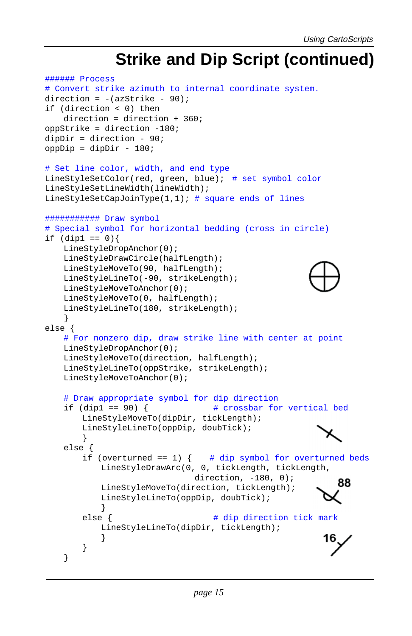### **Strike and Dip Script (continued)**

```
###### Process
# Convert strike azimuth to internal coordinate system.
direction = -(azStrike - 90);
if (direction < 0) then
   direction = direction + 360;
oppStrike = direction -180;
dipDir = direction - 90;
oppDip = dipDir - 180;# Set line color, width, and end type
LineStyleSetColor(red, green, blue); # set symbol color
LineStyleSetLineWidth(lineWidth);
LineStyleSetCapJoinType(1,1); \# square ends of lines
########### Draw symbol
# Special symbol for horizontal bedding (cross in circle)
if (dip1 == 0)LineStyleDropAnchor(0);
   LineStyleDrawCircle(halfLength);
   LineStyleMoveTo(90, halfLength);
   LineStyleLineTo(-90, strikeLength);
   LineStyleMoveToAnchor(0);
   LineStyleMoveTo(0, halfLength);
   LineStyleLineTo(180, strikeLength);
   }
else {
   # For nonzero dip, draw strike line with center at point
   LineStyleDropAnchor(0);
   LineStyleMoveTo(direction, halfLength);
   LineStyleLineTo(oppStrike, strikeLength);
   LineStyleMoveToAnchor(0);
   # Draw appropriate symbol for dip direction
   if (dip1 == 90) { # crossbar for vertical bed
       LineStyleMoveTo(dipDir, tickLength);
       LineStyleLineTo(oppDip, doubTick);
       }
   else {
       if (overturned == 1) \{ # dip symbol for overturned beds
           LineStyleDrawArc(0, 0, tickLength, tickLength,
                              direction, -180, 0);
                                                           88
           LineStyleMoveTo(direction, tickLength);
           LineStyleLineTo(oppDip, doubTick);
           }
       else { \qquad # dip direction tick mark
           LineStyleLineTo(dipDir, tickLength);
           }
       }
    }
```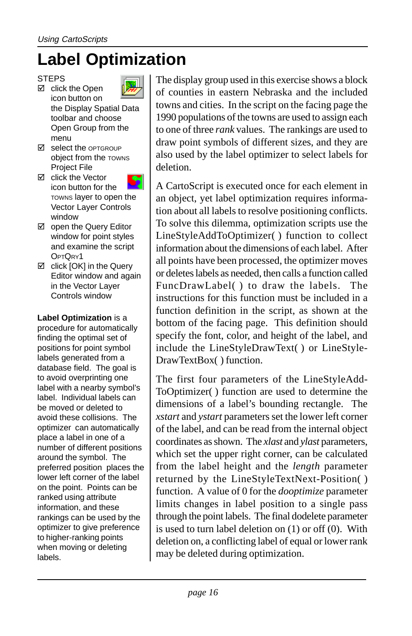## **Label Optimization**

#### **STEPS**

- **☑** click the Open icon button on the Display Spatial Data toolbar and choose Open Group from the menu
- select the OPTGROUP object from the TOWNS Project File
- **Ø** click the Vector icon button for the TOWNS layer to open the Vector Layer Controls window
- $✓$  open the Query Editor window for point styles and examine the script OPTQRY1
- **Ø** click [OK] in the Query Editor window and again in the Vector Layer Controls window

#### **Label Optimization** is a

procedure for automatically finding the optimal set of positions for point symbol labels generated from a database field. The goal is to avoid overprinting one label with a nearby symbol's label. Individual labels can be moved or deleted to avoid these collisions. The optimizer can automatically place a label in one of a number of different positions around the symbol. The preferred position places the lower left corner of the label on the point. Points can be ranked using attribute information, and these rankings can be used by the optimizer to give preference to higher-ranking points when moving or deleting labels.

The display group used in this exercise shows a block of counties in eastern Nebraska and the included towns and cities. In the script on the facing page the 1990 populations of the towns are used to assign each to one of three *rank* values. The rankings are used to draw point symbols of different sizes, and they are also used by the label optimizer to select labels for deletion.

A CartoScript is executed once for each element in an object, yet label optimization requires information about all labels to resolve positioning conflicts. To solve this dilemma, optimization scripts use the LineStyleAddToOptimizer( ) function to collect information about the dimensions of each label. After all points have been processed, the optimizer moves or deletes labels as needed, then calls a function called FuncDrawLabel( ) to draw the labels. The instructions for this function must be included in a function definition in the script, as shown at the bottom of the facing page. This definition should specify the font, color, and height of the label, and include the LineStyleDrawText( ) or LineStyle-DrawTextBox( ) function.

The first four parameters of the LineStyleAdd-ToOptimizer( ) function are used to determine the dimensions of a label's bounding rectangle. The *xstart* and *ystart* parameters set the lower left corner of the label, and can be read from the internal object coordinates as shown. The *xlast* and *ylast* parameters, which set the upper right corner, can be calculated from the label height and the *length* parameter returned by the LineStyleTextNext-Position( ) function. A value of 0 for the *dooptimize* parameter limits changes in label position to a single pass through the point labels. The final dodelete parameter is used to turn label deletion on (1) or off (0). With deletion on, a conflicting label of equal or lower rank may be deleted during optimization.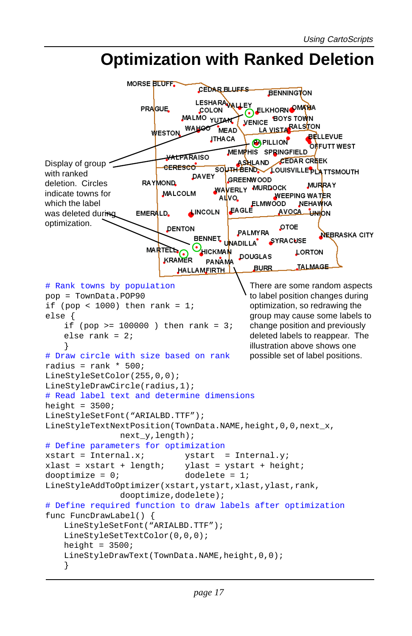### **Optimization with Ranked Deletion**

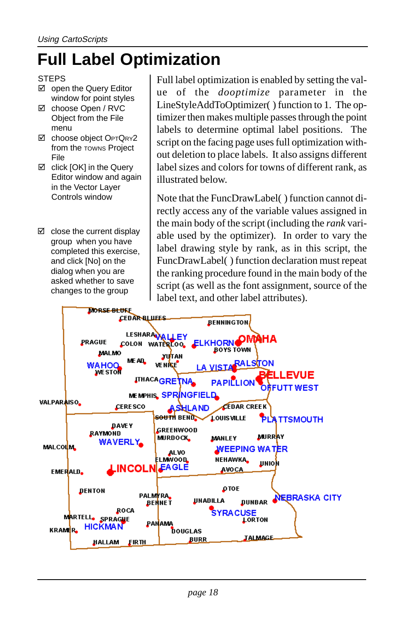### **Full Label Optimization**

#### **STEPS**

- open the Query Editor window for point styles
- choose Open / RVC Object from the File menu
- choose object OPTQRY2 from the TOWNS Project File
- $\boxtimes$  click [OK] in the Query Editor window and again in the Vector Layer Controls window
- $\boxtimes$  close the current display group when you have completed this exercise, and click [No] on the dialog when you are asked whether to save changes to the group

Full label optimization is enabled by setting the value of the *dooptimize* parameter in the LineStyleAddToOptimizer( ) function to 1. The optimizer then makes multiple passes through the point labels to determine optimal label positions. The script on the facing page uses full optimization without deletion to place labels. It also assigns different label sizes and colors for towns of different rank, as illustrated below.

Note that the FuncDrawLabel( ) function cannot directly access any of the variable values assigned in the main body of the script (including the *rank* variable used by the optimizer). In order to vary the label drawing style by rank, as in this script, the FuncDrawLabel( ) function declaration must repeat the ranking procedure found in the main body of the script (as well as the font assignment, source of the label text, and other label attributes).

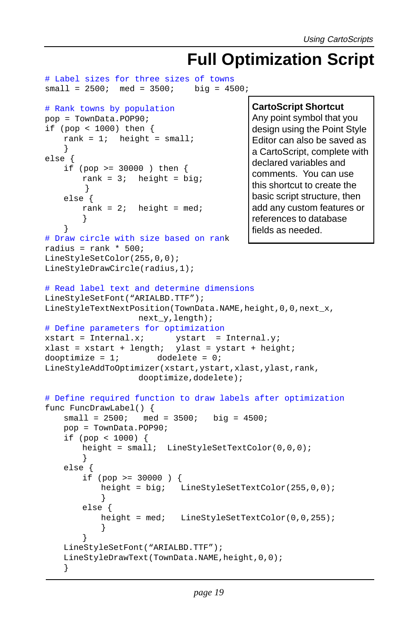### **Full Optimization Script**

```
# Label sizes for three sizes of towns
small = 2500; med = 3500; bid = 4500;# Rank towns by population
pop = TownData.POP90;
if (pop < 1000) then {
    rank = 1; height = small;
    }
else {
    if (pop >= 30000 ) then {
       rank = 3; height = big;
         }
    else {
       rank = 2i height = med;
        }
    }
# Draw circle with size based on rank
radius = rank * 500;
LineStyleSetColor(255,0,0);
LineStyleDrawCircle(radius,1);
# Read label text and determine dimensions
LineStyleSetFont("ARIALBD.TTF");
LineStyleTextNextPosition(TownData.NAME,height,0,0,next_x,
                   next_y,length);
# Define parameters for optimization
xstart = Internal.x; ystart = Internal.y;
xlast = xstart + length; ylast = ystart + height;
dooptimize = 1; dodelete = 0;
LineStyleAddToOptimizer(xstart,ystart,xlast,ylast,rank,
                   dooptimize,dodelete);
# Define required function to draw labels after optimization
func FuncDrawLabel() {
    small = 2500; med = 3500; big = 4500;
    pop = TownData.POP90;
    if (pop < 1000) {
       height = small; LineStyleSetTextColor(0,0,0);
       }
    else {
        if (pop >= 30000 ) {
           height = big; LineStyleSetTextColor(255,0,0);
           }
       else {
           height = med; LineStyleSetTextColor(0,0,255);
            }
        }
    LineStyleSetFont("ARIALBD.TTF");
    LineStyleDrawText(TownData.NAME, height, 0, 0);
    }
                                           CartoScript Shortcut
                                           Any point symbol that you
                                           design using the Point Style
                                           Editor can also be saved as
                                           a CartoScript, complete with
                                           declared variables and
                                           comments. You can use
                                           this shortcut to create the
                                           basic script structure, then
                                           add any custom features or
                                           references to database
                                           fields as needed.
```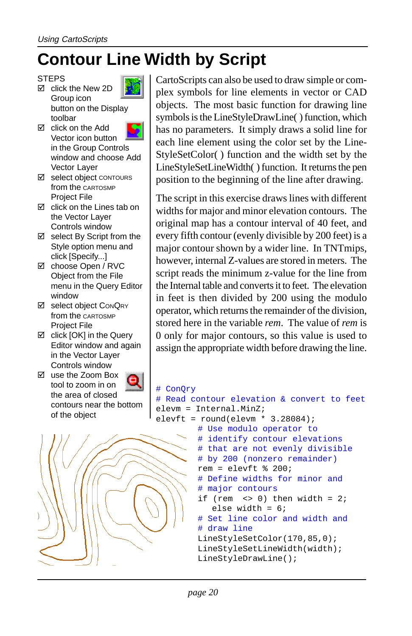### **Contour Line Width by Script**

**STEPS** 

**Ø** click the New 2D Group icon button on the Display toolbar



- □ click on the Add Vector icon button in the Group Controls window and choose Add Vector Layer
- select object CONTOURS from the CARTOSMP Project File
- $\boxtimes$  click on the Lines tab on the Vector Layer Controls window
- $\boxtimes$  select By Script from the Style option menu and click [Specify...]
- choose Open / RVC Object from the File menu in the Query Editor window
- select object ConQRY from the CARTOSMP Project File
- $\boxtimes$  click [OK] in the Query Editor window and again in the Vector Layer Controls window
- use the Zoom Box tool to zoom in on the area of closed contours near the bottom of the object



CartoScripts can also be used to draw simple or complex symbols for line elements in vector or CAD objects. The most basic function for drawing line symbols is the LineStyleDrawLine( ) function, which has no parameters. It simply draws a solid line for each line element using the color set by the Line-StyleSetColor( ) function and the width set by the LineStyleSetLineWidth( ) function. It returns the pen position to the beginning of the line after drawing.

The script in this exercise draws lines with different widths for major and minor elevation contours. The original map has a contour interval of 40 feet, and every fifth contour (evenly divisible by 200 feet) is a major contour shown by a wider line. In TNTmips, however, internal Z-values are stored in meters. The script reads the minimum z-value for the line from the Internal table and converts it to feet. The elevation in feet is then divided by 200 using the modulo operator, which returns the remainder of the division, stored here in the variable *rem*. The value of *rem* is 0 only for major contours, so this value is used to assign the appropriate width before drawing the line.

```
# ConQry
# Read contour elevation & convert to feet
elevm = Internal.MinZ;
elevft = round(elevm * 3.28084);
        # Use modulo operator to
        # identify contour elevations
        # that are not evenly divisible
        # by 200 (nonzero remainder)
        rem = elevft % 200;
        # Define widths for minor and
        # major contours
        if (rem \iff 0) then width = 2;
           else width = 6;
        # Set line color and width and
        # draw line
        LineStyleSetColor(170,85,0);
        LineStyleSetLineWidth(width);
        LineStyleDrawLine();
```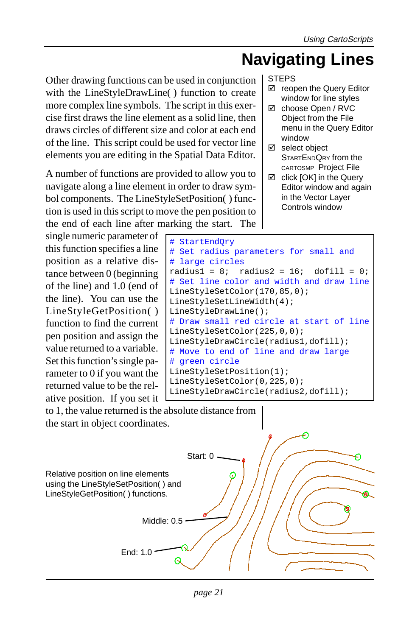## **Navigating Lines**

Other drawing functions can be used in conjunction with the LineStyleDrawLine( ) function to create more complex line symbols. The script in this exercise first draws the line element as a solid line, then draws circles of different size and color at each end of the line. This script could be used for vector line elements you are editing in the Spatial Data Editor.

A number of functions are provided to allow you to navigate along a line element in order to draw symbol components. The LineStyleSetPosition( ) function is used in this script to move the pen position to the end of each line after marking the start. The

single numeric parameter of this function specifies a line position as a relative distance between 0 (beginning of the line) and 1.0 (end of the line). You can use the LineStyleGetPosition( ) function to find the current pen position and assign the value returned to a variable. Set this function's single parameter to 0 if you want the returned value to be the relative position. If you set it

**STEPS** 

- reopen the Query Editor window for line styles
- choose Open / RVC Object from the File menu in the Query Editor window
- **Ø** select object STARTENDQRY from the CARTOSMP Project File
- $\boxtimes$  click [OK] in the Query Editor window and again in the Vector Layer Controls window

```
# StartEndQry
# Set radius parameters for small and
# large circles
radius1 = 8; radius2 = 16; dofill = 0;
# Set line color and width and draw line
LineStyleSetColor(170,85,0);
LineStyleSetLineWidth(4);
LineStyleDrawLine();
# Draw small red circle at start of line
LineStyleSetColor(225,0,0);
LineStyleDrawCircle(radius1,dofill);
# Move to end of line and draw large
# green circle
LineStyleSetPosition(1);
LineStyleSetColor(0,225,0);
LineStyleDrawCircle(radius2,dofill);
```
to 1, the value returned is the absolute distance from the start in object coordinates.

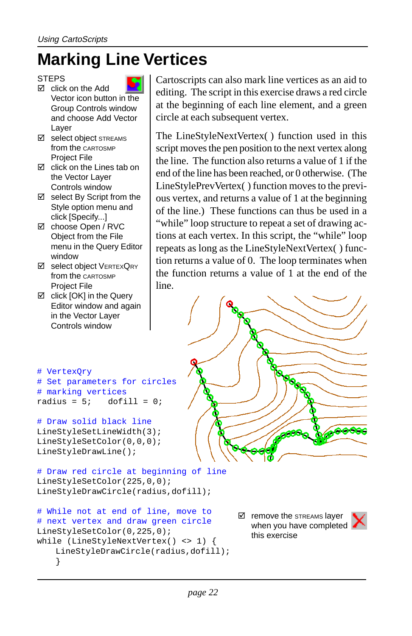## **Marking Line Vertices**

#### **STEPS**

- click on the Add Vector icon button in the Group Controls window and choose Add Vector Layer
- select object STREAMS from the CARTOSMP Project File
- $\boxtimes$  click on the Lines tab on the Vector Layer Controls window
- $\boxtimes$  select By Script from the Style option menu and click [Specify...]
- choose Open / RVC Object from the File menu in the Query Editor window
- **Ø** select object VERTEXQRY from the CARTOSMP Project File
- **Ø** click [OK] in the Query Editor window and again in the Vector Layer Controls window

```
Cartoscripts can also mark line vertices as an aid to
editing. The script in this exercise draws a red circle
at the beginning of each line element, and a green
circle at each subsequent vertex.
```
The LineStyleNextVertex( ) function used in this script moves the pen position to the next vertex along the line. The function also returns a value of 1 if the end of the line has been reached, or 0 otherwise. (The LineStylePrevVertex( ) function moves to the previous vertex, and returns a value of 1 at the beginning of the line.) These functions can thus be used in a "while" loop structure to repeat a set of drawing actions at each vertex. In this script, the "while" loop repeats as long as the LineStyleNextVertex( ) function returns a value of 0. The loop terminates when the function returns a value of 1 at the end of the line.



# VertexQry # Set parameters for circles # marking vertices radius =  $5$ ; dofill =  $0$ ;

# Draw solid black line LineStyleSetLineWidth(3); LineStyleSetColor(0,0,0); LineStyleDrawLine();

# Draw red circle at beginning of line LineStyleSetColor(225,0,0); LineStyleDrawCircle(radius,dofill);

```
# While not at end of line, move to
# next vertex and draw green circle
LineStyleSetColor(0,225,0);
while (LineStyleNextVertex() <> 1) {
   LineStyleDrawCircle(radius,dofill);
    }
```
 $\boxtimes$  remove the STREAMS layer when you have completed this exercise

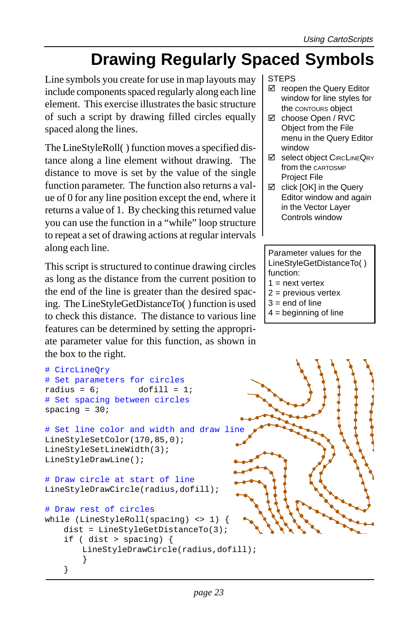## **Drawing Regularly Spaced Symbols**

Line symbols you create for use in map layouts may include components spaced regularly along each line element. This exercise illustrates the basic structure of such a script by drawing filled circles equally spaced along the lines.

The LineStyleRoll( ) function moves a specified distance along a line element without drawing. The distance to move is set by the value of the single function parameter. The function also returns a value of 0 for any line position except the end, where it returns a value of 1. By checking this returned value you can use the function in a "while" loop structure to repeat a set of drawing actions at regular intervals along each line.

This script is structured to continue drawing circles as long as the distance from the current position to the end of the line is greater than the desired spacing. The LineStyleGetDistanceTo( ) function is used to check this distance. The distance to various line features can be determined by setting the appropriate parameter value for this function, as shown in the box to the right.

```
# CircLineQry
# Set parameters for circles
radius = 6; dofill = 1;# Set spacing between circles
spacing = 30;# Set line color and width and draw line
LineStyleSetColor(170,85,0);
LineStyleSetLineWidth(3);
LineStyleDrawLine();
# Draw circle at start of line
LineStyleDrawCircle(radius,dofill);
# Draw rest of circles
while (LineStyleRoll(spacing) <> 1) {
   dist = LineStyleGetDistanceTo(3);
   if ( dist > spacing) {
       LineStyleDrawCircle(radius,dofill);
```
}

}

**STEPS** 

- reopen the Query Editor window for line styles for the CONTOURS object
- choose Open / RVC Object from the File menu in the Query Editor window
- **Ø** select object CIRCLINEQRY from the CARTOSMP Project File
- $\boxtimes$  click [OK] in the Query Editor window and again in the Vector Layer Controls window

#### Parameter values for the LineStyleGetDistanceTo( ) function:

- $1 =$  next vertex
- $2$  = previous vertex
- $3 = end of line$
- $4 =$  beginning of line

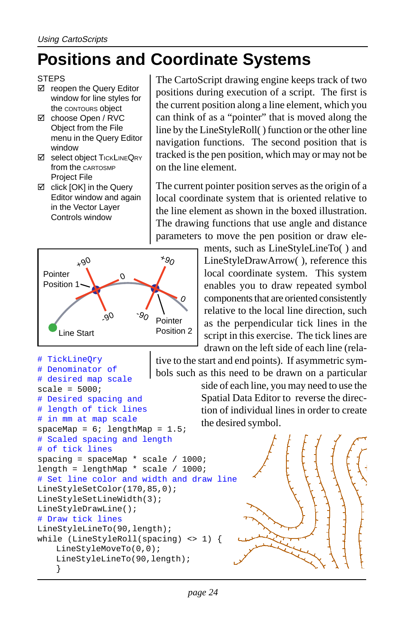### **Positions and Coordinate Systems**

- reopen the Query Editor window for line styles for the CONTOURS object
- choose Open / RVC Object from the File menu in the Query Editor window
- **Ø** select object TICKLINEQRY from the CARTOSMP Project File
- $\boxtimes$  click [OK] in the Query Editor window and again in the Vector Layer Controls window

# TickLineQry # Denominator of # desired map scale



The CartoScript drawing engine keeps track of two positions during execution of a script. The first is the current position along a line element, which you can think of as a "pointer" that is moved along the line by the LineStyleRoll( ) function or the other line navigation functions. The second position that is tracked is the pen position, which may or may not be on the line element.

The current pointer position serves as the origin of a local coordinate system that is oriented relative to the line element as shown in the boxed illustration. The drawing functions that use angle and distance parameters to move the pen position or draw ele-

> ments, such as LineStyleLineTo( ) and LineStyleDrawArrow( ), reference this local coordinate system. This system enables you to draw repeated symbol components that are oriented consistently relative to the local line direction, such as the perpendicular tick lines in the script in this exercise. The tick lines are drawn on the left side of each line (rela-

tive to the start and end points). If asymmetric symbols such as this need to be drawn on a particular

> side of each line, you may need to use the Spatial Data Editor to reverse the direction of individual lines in order to create the desired symbol.

```
scale = 5000;
# Desired spacing and
# length of tick lines
# in mm at map scale
spaceMap = 6; lengthMap = 1.5;# Scaled spacing and length
# of tick lines
spacing = spaceMap * scale / 1000;
length = lengthMap * scale / 1000;
# Set line color and width and draw line
LineStyleSetColor(170,85,0);
LineStyleSetLineWidth(3);
LineStyleDrawLine();
# Draw tick lines
LineStyleLineTo(90,length);
while (LineStyleRoll(spacing) <> 1) {
   LineStyleMoveTo(0,0);
   LineStyleLineTo(90,length);
    }
```
**STEPS**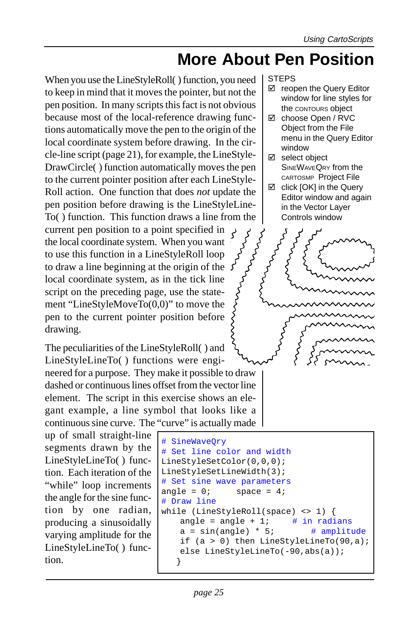### **More About Pen Position**

When you use the LineStyleRoll( ) function, you need to keep in mind that it moves the pointer, but not the pen position. In many scripts this fact is not obvious because most of the local-reference drawing functions automatically move the pen to the origin of the local coordinate system before drawing. In the circle-line script (page 21), for example, the LineStyle-DrawCircle( ) function automatically moves the pen to the current pointer position after each LineStyle-Roll action. One function that does *not* update the pen position before drawing is the LineStyleLine-To( ) function. This function draws a line from the current pen position to a point specified in the local coordinate system. When you want to use this function in a LineStyleRoll loop to draw a line beginning at the origin of the local coordinate system, as in the tick line script on the preceding page, use the statement "LineStyleMoveTo(0,0)" to move the pen to the current pointer position before drawing.

The peculiarities of the LineStyleRoll( ) and LineStyleLineTo( ) functions were engineered for a purpose. They make it possible to draw dashed or continuous lines offset from the vector line element. The script in this exercise shows an elegant example, a line symbol that looks like a continuous sine curve. The "curve" is actually made

up of small straight-line segments drawn by the LineStyleLineTo( ) function. Each iteration of the "while" loop increments the angle for the sine function by one radian, producing a sinusoidally varying amplitude for the LineStyleLineTo( ) function.

**STEPS** 

- reopen the Query Editor window for line styles for the CONTOURS object
- choose Open / RVC Object from the File menu in the Query Editor window
- select object SINEWAVEQRY from the CARTOSMP Project File
- $\boxtimes$  click [OK] in the Query Editor window and again in the Vector Layer Controls window



```
SineWaveQry
# Set line color and width
LineStyleSetColor(0,0,0);
LineStyleSetLineWidth(3);
# Set sine wave parameters
angle = 0; space = 4;
# Draw line
while (LineStyleRoll(space) <> 1) {
   angle = angle + 1; \# in radians
   a = sin(angle) * 5; # amplitude
   if (a > 0) then LineStyleLineTo(90,a);
   else LineStyleLineTo(-90,abs(a));
    }
```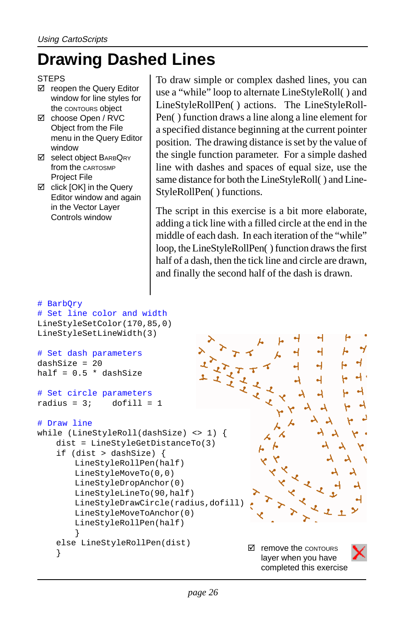## **Drawing Dashed Lines**

```
STEPS
```
- reopen the Query Editor window for line styles for the CONTOURS object
- choose Open / RVC Object from the File menu in the Query Editor window
- select object BARBQRY from the CARTOSMP Project File
- $\boxtimes$  click [OK] in the Query Editor window and again in the Vector Layer Controls window

# BarbQry

```
# Set line color and width
LineStyleSetColor(170,85,0)
LineStyleSetLineWidth(3)
```

```
# Set dash parameters
dashSize = 20
half = 0.5 * dashSize
```

```
# Set circle parameters
radius = 3; dofill = 1
```
#### # Draw line

```
while (LineStyleRoll(dashSize) <> 1) {
   dist = LineStyleGetDistanceTo(3)
   if (dist > dashSize) {
       LineStyleRollPen(half)
       LineStyleMoveTo(0,0)
       LineStyleDropAnchor(0)
       LineStyleLineTo(90,half)
       LineStyleDrawCircle(radius,dofill)
       LineStyleMoveToAnchor(0)
       LineStyleRollPen(half)
       }
   else LineStyleRollPen(dist)
   \Box remove the contours \Box remove the contours \Box
```
To draw simple or complex dashed lines, you can use a "while" loop to alternate LineStyleRoll( ) and LineStyleRollPen( ) actions. The LineStyleRoll-Pen( ) function draws a line along a line element for a specified distance beginning at the current pointer position. The drawing distance is set by the value of the single function parameter. For a simple dashed line with dashes and spaces of equal size, use the same distance for both the LineStyleRoll( ) and Line-StyleRollPen( ) functions.

The script in this exercise is a bit more elaborate, adding a tick line with a filled circle at the end in the middle of each dash. In each iteration of the "while" loop, the LineStyleRollPen( ) function draws the first half of a dash, then the tick line and circle are drawn, and finally the second half of the dash is drawn.

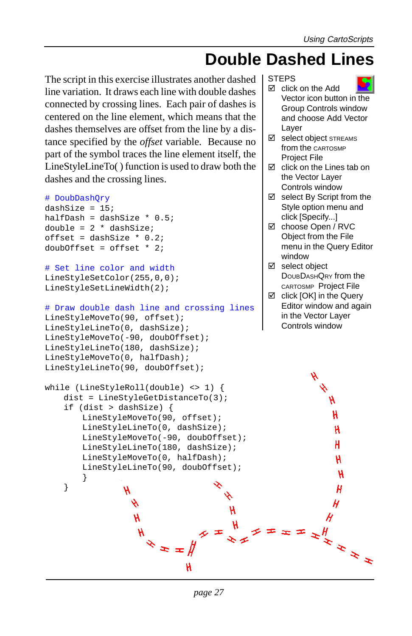### **Double Dashed Lines**

Layer

 $\boxtimes$  click on the Add

 select object STREAMS from the CARTOSMP Project File  $\boxtimes$  click on the Lines tab on the Vector Layer Controls window

Vector icon button in the Group Controls window and choose Add Vector

**STEPS** 

The script in this exercise illustrates another dashed line variation. It draws each line with double dashes connected by crossing lines. Each pair of dashes is centered on the line element, which means that the dashes themselves are offset from the line by a distance specified by the *offset* variable. Because no part of the symbol traces the line element itself, the LineStyleLineTo( ) function is used to draw both the dashes and the crossing lines.

```
\boxtimes select By Script from the
# DoubDashQry
                                                      Style option menu and
dashSize = 15;
halfDash = dashSize * 0.5;
                                                      click [Specify...]
                                                    choose Open / RVC
double = 2 * dashSize;
                                                      Object from the File
offset = dashSize * 0.2;
                                                      menu in the Query Editor
doubOffset = offset * 2;
                                                      window
                                                   Ø select object
# Set line color and width
                                                      DOUBDASHQRY from the
LineStyleSetColor(255,0,0);
                                                      CARTOSMP Project File
LineStyleSetLineWidth(2);
                                                   \boxtimes click [OK] in the Query
                                                      Editor window and again
# Draw double dash line and crossing lines
                                                      in the Vector Layer
LineStyleMoveTo(90, offset);
                                                      Controls window
LineStyleLineTo(0, dashSize);
LineStyleMoveTo(-90, doubOffset);
LineStyleLineTo(180, dashSize);
LineStyleMoveTo(0, halfDash);
LineStyleLineTo(90, doubOffset);
while (LineStyleRoll(double) <> 1) {
    dist = LineStyleGetDistanceTo(3);
    if (dist > dashSize) {
        LineStyleMoveTo(90, offset);
        LineStyleLineTo(0, dashSize);
                                                                  H
        LineStyleMoveTo(-90, doubOffset);
                                                                  H
        LineStyleLineTo(180, dashSize);
        LineStyleMoveTo(0, halfDash);
                                                                  H
        LineStyleLineTo(90, doubOffset);
        }
    }н
                  H
                   H
                                                                 H
                                                     x = x + \frac{y}{x}<br>x = x + \frac{z}{x}Ĥ
                                H
```
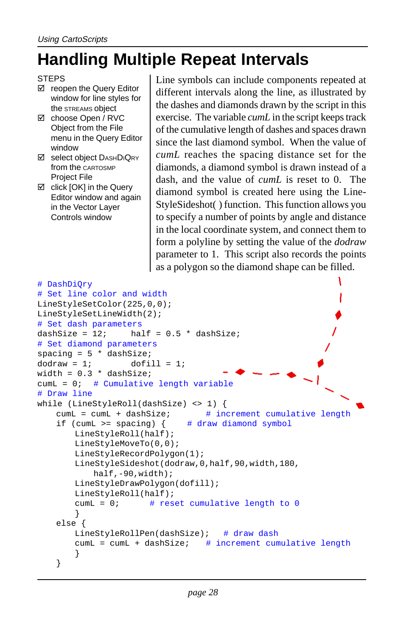## **Handling Multiple Repeat Intervals**

**STEPS** 

- reopen the Query Editor window for line styles for the STREAMS object
- $\boxtimes$  choose Open / RVC Object from the File menu in the Query Editor window
- **Ø** select object DASHDIQRY from the CARTOSMP Project File
- $\boxtimes$  click [OK] in the Query Editor window and again in the Vector Layer Controls window

Line symbols can include components repeated at different intervals along the line, as illustrated by the dashes and diamonds drawn by the script in this exercise. The variable *cumL* in the script keeps track of the cumulative length of dashes and spaces drawn since the last diamond symbol. When the value of *cumL* reaches the spacing distance set for the diamonds, a diamond symbol is drawn instead of a dash, and the value of *cumL* is reset to 0. The diamond symbol is created here using the Line-StyleSideshot( ) function. This function allows you to specify a number of points by angle and distance in the local coordinate system, and connect them to form a polyline by setting the value of the *dodraw* parameter to 1. This script also records the points as a polygon so the diamond shape can be filled.

```
# DashDiQry
# Set line color and width
LineStyleSetColor(225,0,0);
LineStyleSetLineWidth(2);
# Set dash parameters
dashSize = 12; half = 0.5 * dashSize;
# Set diamond parameters
spacing = 5 * dashSize;
dodraw = 1; \tdot{d}ofill = 1;width = 0.3 * dashSize;
cumL = 0; # Cumulative length variable
# Draw line
while (LineStyleRoll(dashSize) <> 1) {
   cumL = cumL + dashSize; # increment cumulative length
   if (cumL >= spacing) \{ # draw diamond symbol
       LineStyleRoll(half);
       LineStyleMoveTo(0,0);
       LineStyleRecordPolygon(1);
       LineStyleSideshot(dodraw,0,half,90,width,180,
          half,-90,width);
       LineStyleDrawPolygon(dofill);
       LineStyleRoll(half);
       cumL = 0; # reset cumulative length to 0
       }
   else {
       LineStyleRollPen(dashSize); # draw dash
       cumL = cumL + dashSize; # increment cumulative length
       }
   }
```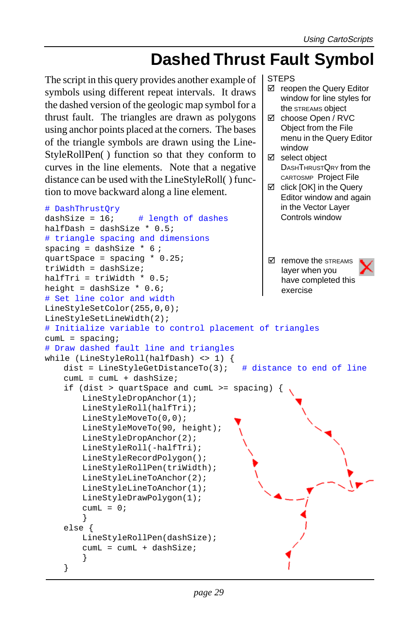■ reopen the Query Editor window for line styles for the STREAMS object choose Open / RVC Object from the File menu in the Query Editor

DASHTHRUSTQRY from the CARTOSMP Project File  $\boxtimes$  click [OK] in the Query Editor window and again

## **Dashed Thrust Fault Symbol**

**STEPS** 

window **Ø** select object

The script in this query provides another example of symbols using different repeat intervals. It draws the dashed version of the geologic map symbol for a thrust fault. The triangles are drawn as polygons using anchor points placed at the corners. The bases of the triangle symbols are drawn using the Line-StyleRollPen( ) function so that they conform to curves in the line elements. Note that a negative distance can be used with the LineStyleRoll( ) function to move backward along a line element.

```
# DashThrustQry
dashSize = 16; # length of dashes
halfDash = dashSize * 0.5;
# triangle spacing and dimensions
spacing = dashSize * 6;
quartSpace = spacing * 0.25;
triWidth = dashSize;
halfTri = triWidth * 0.5;
height = dashSize * 0.6;
# Set line color and width
LineStyleSetColor(255,0,0);
LineStyleSetLineWidth(2);
# Initialize variable to control placement of triangles
cumL = spacing;# Draw dashed fault line and triangles
while (LineStyleRoll(halfDash) <> 1) {
    dist = LineStyleGetDistanceTo(3); # distance to end of linecumL = cumL + dashSize;
    if (dist > quartSpace and cumL >= spacing) {
        LineStyleDropAnchor(1);
        LineStyleRoll(halfTri);
       LineStyleMoveTo(0,0);
       LineStyleMoveTo(90, height);
       LineStyleDropAnchor(2);
       LineStyleRoll(-halfTri);
       LineStyleRecordPolygon();
       LineStyleRollPen(triWidth);
       LineStyleLineToAnchor(2);
       LineStyleLineToAnchor(1);
       LineStyleDrawPolygon(1);
        cumL = 0;
        }
    else {
        LineStyleRollPen(dashSize);
        cumL = cumL + dashSize;
        }
    }
                                                  in the Vector Layer
                                                 Controls window
                                               \boxtimes remove the STREAMS
                                                  layer when you
                                                  have completed this
                                                  exercise
```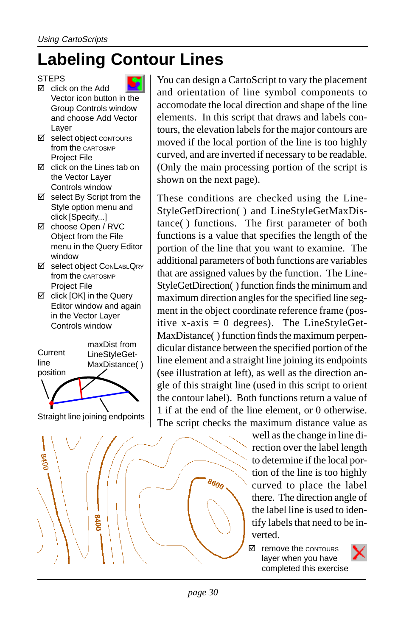### **Labeling Contour Lines**

#### **STEPS**



- □ click on the Add Vector icon button in the Group Controls window and choose Add Vector Layer
- select object CONTOURS from the CARTOSMP Project File
- $\boxtimes$  click on the Lines tab on the Vector Layer Controls window
- $\boxtimes$  select By Script from the Style option menu and click [Specify...]
- choose Open / RVC Object from the File menu in the Query Editor window
- **Ø** select object ConLABLQRY from the CARTOSMP Project File
- $\boxtimes$  click [OK] in the Query Editor window and again in the Vector Layer Controls window



Straight line joining endpoints

 $00<sub>100</sub>$ 

You can design a CartoScript to vary the placement and orientation of line symbol components to accomodate the local direction and shape of the line elements. In this script that draws and labels contours, the elevation labels for the major contours are moved if the local portion of the line is too highly curved, and are inverted if necessary to be readable. (Only the main processing portion of the script is shown on the next page).

These conditions are checked using the Line-StyleGetDirection( ) and LineStyleGetMaxDistance( ) functions. The first parameter of both functions is a value that specifies the length of the portion of the line that you want to examine. The additional parameters of both functions are variables that are assigned values by the function. The Line-StyleGetDirection( ) function finds the minimum and maximum direction angles for the specified line segment in the object coordinate reference frame (positive  $x-axis = 0$  degrees). The LineStyleGet-MaxDistance( ) function finds the maximum perpendicular distance between the specified portion of the line element and a straight line joining its endpoints (see illustration at left), as well as the direction angle of this straight line (used in this script to orient the contour label). Both functions return a value of 1 if at the end of the line element, or 0 otherwise. The script checks the maximum distance value as

> well as the change in line direction over the label length to determine if the local portion of the line is too highly curved to place the label there. The direction angle of the label line is used to identify labels that need to be inverted.

**Z** remove the contours layer when you have completed this exercise



8600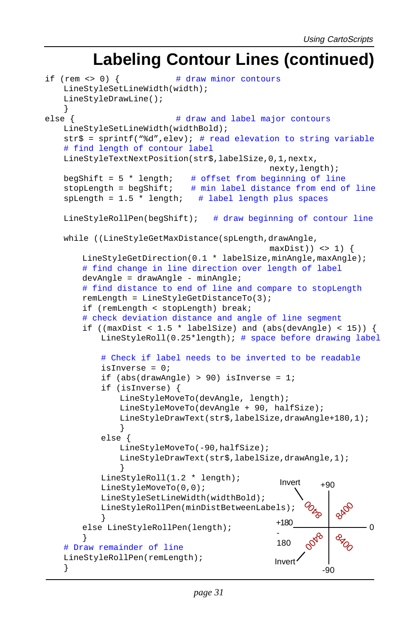### **Labeling Contour Lines (continued)**

```
if (\text{rem} \leq 0) { \text{# draw minor contours}LineStyleSetLineWidth(width);
   LineStyleDrawLine();
   }
else { \qquad # draw and label major contours
   LineStyleSetLineWidth(widthBold);
   str$ = sprintf("%d", elev); # read elevation to string variable
   # find length of contour label
   LineStyleTextNextPosition(str$,labelSize,0,1,nextx,
                                             nexty,length);
   begShift = 5 * lenqth; # offset from beginning of line
   stopLength = begShift; # min label distance from end of line
   splength = 1.5 * length; # label length plus spaces
   LineStyleRollPen(begShift); # draw beginning of contour line
   while ((LineStyleGetMaxDistance(spLength,drawAngle,
                                             maxDist)) <> 1) {
       LineStyleGetDirection(0.1 * labelSize,minAngle,maxAngle);
       # find change in line direction over length of label
       devAngle = drawAngle - minAngle;
       # find distance to end of line and compare to stopLength
       remLength = LineStyleGetDistanceTo(3);
       if (remLength < stopLength) break;
       # check deviation distance and angle of line segment
       if ((maxDist < 1.5 * labelSize) and (abs(devAngle) < 15)) {
           LineStyleRoll(0.25*length); # space before drawing label
           # Check if label needs to be inverted to be readable
           isInverse = 0;
           if (abs(drawAngle) > 90) isInverse = 1;
           if (isInverse) {
               LineStyleMoveTo(devAngle, length);
               LineStyleMoveTo(devAngle + 90, halfSize);
               LineStyleDrawText(str$,labelSize,drawAngle+180,1);
               }
           else {
               LineStyleMoveTo(-90,halfSize);
               LineStyleDrawText(str$,labelSize,drawAngle,1);
               }
           LineStyleRoll(1.2 * length);
           LineStyleMoveTo(0,0);
           LineStyleSetLineWidth(widthBold);
           LineStyleRollPen(minDistBetweenLabels);
           }
       else LineStyleRollPen(length);
       }
   # Draw remainder of line
   LineStyleRollPen(remLength);
   }
                                                           8AQO
                                                     OORP
                                                     00yo
                                                           ogo
                                                                 0
                                                        +90
                                                        -90
                                               +180
                                               -
                                               180
                                                Invert
                                               Invert
```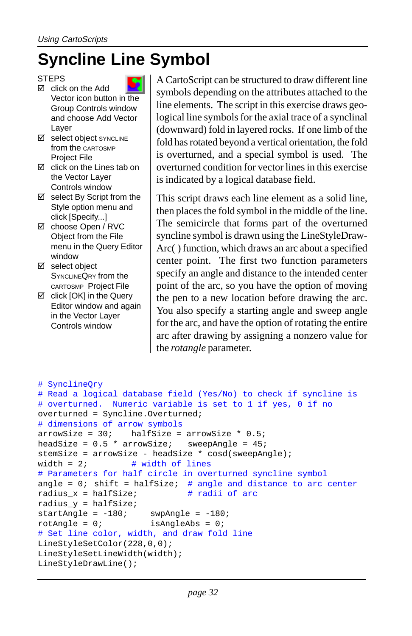## **Syncline Line Symbol**

#### **STEPS**



- **☑** click on the Add Vector icon button in the Group Controls window and choose Add Vector Layer
- **E** select object SYNCLINE from the CARTOSMP Project File
- $\boxtimes$  click on the Lines tab on the Vector Layer Controls window
- $\boxtimes$  select By Script from the Style option menu and click [Specify...]
- choose Open / RVC Object from the File menu in the Query Editor window
- **Ø** select object SYNCLINEQRY from the CARTOSMP Project File
- $\boxtimes$  click [OK] in the Query Editor window and again in the Vector Layer Controls window

A CartoScript can be structured to draw different line symbols depending on the attributes attached to the line elements. The script in this exercise draws geological line symbols for the axial trace of a synclinal (downward) fold in layered rocks. If one limb of the fold has rotated beyond a vertical orientation, the fold is overturned, and a special symbol is used. The overturned condition for vector lines in this exercise is indicated by a logical database field.

This script draws each line element as a solid line, then places the fold symbol in the middle of the line. The semicircle that forms part of the overturned syncline symbol is drawn using the LineStyleDraw-Arc( ) function, which draws an arc about a specified center point. The first two function parameters specify an angle and distance to the intended center point of the arc, so you have the option of moving the pen to a new location before drawing the arc. You also specify a starting angle and sweep angle for the arc, and have the option of rotating the entire arc after drawing by assigning a nonzero value for the *rotangle* parameter.

```
# SynclineQry
# Read a logical database field (Yes/No) to check if syncline is
# overturned. Numeric variable is set to 1 if yes, 0 if no
overturned = Syncline.Overturned;
# dimensions of arrow symbols
arrowsize = 30; halfSize = arrowsize * 0.5;headSize = 0.5 * arrowSize; sweepAngle = 45;
stemSize = arrowSize - headSize * cosd(sweepAngle);
width = 2; \qquad # width of lines
# Parameters for half circle in overturned syncline symbol
angle = 0; shift = halfSize; # angle and distance to arc center
radius x = \text{halfSize}; # radii of arc
radius_y = halfSize;
startAngle = -180; swpAngle = -180;
rotAngle = 0; isAngleAbs = 0;
# Set line color, width, and draw fold line
LineStyleSetColor(228,0,0);
LineStyleSetLineWidth(width);
LineStyleDrawLine();
```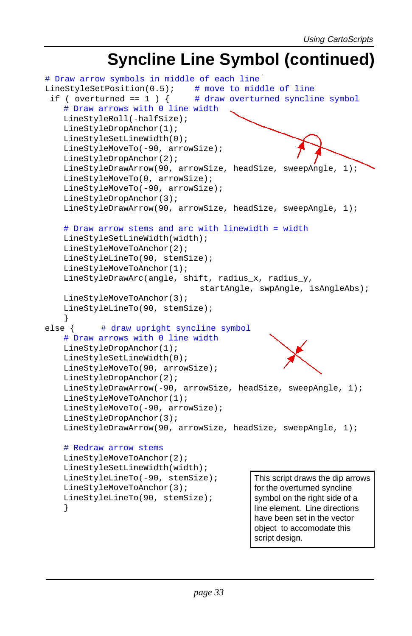### **Syncline Line Symbol (continued)**

```
# Draw arrow symbols in middle of each line
LineStyleSetPosition(0.5); \# move to middle of line
 if ( overturned == 1 ) { \# draw overturned syncline symbol
    # Draw arrows with 0 line width
    LineStyleRoll(-halfSize);
    LineStyleDropAnchor(1);
    LineStyleSetLineWidth(0);
    LineStyleMoveTo(-90, arrowSize);
    LineStyleDropAnchor(2);
    LineStyleDrawArrow(90, arrowSize, headSize, sweepAngle, 1);
    LineStyleMoveTo(0, arrowSize);
    LineStyleMoveTo(-90, arrowSize);
    LineStyleDropAnchor(3);
    LineStyleDrawArrow(90, arrowSize, headSize, sweepAngle, 1);
    # Draw arrow stems and arc with linewidth = width
    LineStyleSetLineWidth(width);
    LineStyleMoveToAnchor(2);
    LineStyleLineTo(90, stemSize);
    LineStyleMoveToAnchor(1);
    LineStyleDrawArc(angle, shift, radius_x, radius_y,
                                 startAngle, swpAngle, isAngleAbs);
    LineStyleMoveToAnchor(3);
    LineStyleLineTo(90, stemSize);
    }
else { # draw upright syncline symbol
    # Draw arrows with 0 line width
    LineStyleDropAnchor(1);
    LineStyleSetLineWidth(0);
    LineStyleMoveTo(90, arrowSize);
    LineStyleDropAnchor(2);
    LineStyleDrawArrow(-90, arrowSize, headSize, sweepAngle, 1);
    LineStyleMoveToAnchor(1);
    LineStyleMoveTo(-90, arrowSize);
    LineStyleDropAnchor(3);
    LineStyleDrawArrow(90, arrowSize, headSize, sweepAngle, 1);
    # Redraw arrow stems
    LineStyleMoveToAnchor(2);
    LineStyleSetLineWidth(width);
    LineStyleLineTo(-90, stemSize);
    LineStyleMoveToAnchor(3);
    LineStyleLineTo(90, stemSize);
    }
                                            This script draws the dip arrows
                                            for the overturned syncline
                                            symbol on the right side of a
                                            line element. Line directions
                                            have been set in the vector
                                            object to accomodate this
                                            script design.
```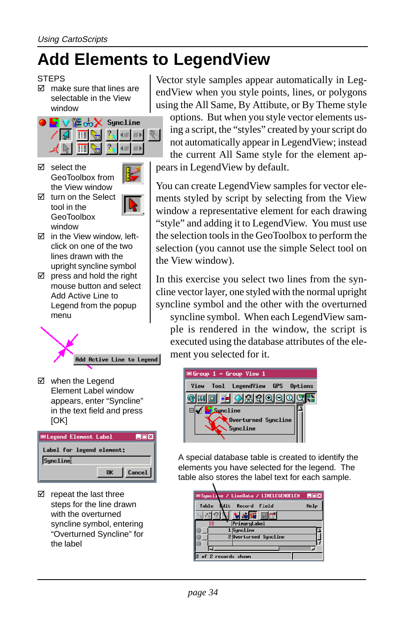# **Add Elements to LegendView**

 $\boxtimes$  make sure that lines are selectable in the View window



- $\boxtimes$  select the GeoToolbox from the View window
- $⊓$  turn on the Select tool in the **GeoToolbox** window



- $\boxtimes$  in the View window, leftclick on one of the two lines drawn with the upright syncline symbol
- $\boxtimes$  press and hold the right mouse button and select Add Active Line to Legend from the popup menu



 $\boxtimes$  when the Legend Element Label window appears, enter "Syncline" in the text field and press [OK]

| <b>Elegend Element Label</b> |          |        |
|------------------------------|----------|--------|
| Label for legend element:    |          |        |
| Syncline                     |          |        |
|                              | <b>n</b> | Cancel |

 $\boxtimes$  repeat the last three steps for the line drawn with the overturned syncline symbol, entering "Overturned Syncline" for the label

Vector style samples appear automatically in LegendView when you style points, lines, or polygons using the All Same, By Attibute, or By Theme style

options. But when you style vector elements using a script, the "styles" created by your script do not automatically appear in LegendView; instead the current All Same style for the element appears in LegendView by default.

You can create LegendView samples for vector elements styled by script by selecting from the View window a representative element for each drawing "style" and adding it to LegendView. You must use the selection tools in the GeoToolbox to perform the selection (you cannot use the simple Select tool on the View window).

In this exercise you select two lines from the syncline vector layer, one styled with the normal upright syncline symbol and the other with the overturned syncline symbol. When each LegendView sample is rendered in the window, the script is executed using the database attributes of the element you selected for it.



A special database table is created to identify the elements you have selected for the legend. The table also stores the label text for each sample.

|                      | <b>ESyncline / LineData / LINELEGENDELEM</b> | LOX  |
|----------------------|----------------------------------------------|------|
| Mit.<br>Table        | Record Field                                 | Help |
|                      |                                              |      |
| Τn                   | PrinaryLabel                                 |      |
|                      | 1Syncline                                    |      |
|                      | 2 Overturned Syncline                        |      |
|                      |                                              |      |
|                      |                                              |      |
| 2 of 2 records shown |                                              |      |



**STEPS**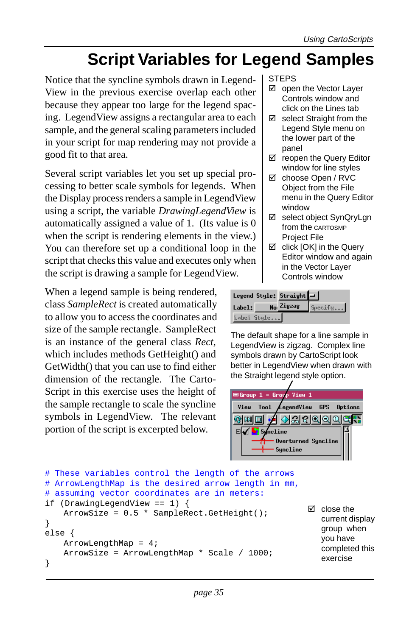## **Script Variables for Legend Samples**

Notice that the syncline symbols drawn in Legend-View in the previous exercise overlap each other because they appear too large for the legend spacing. LegendView assigns a rectangular area to each sample, and the general scaling parameters included in your script for map rendering may not provide a good fit to that area.

Several script variables let you set up special processing to better scale symbols for legends. When the Display process renders a sample in LegendView using a script, the variable *DrawingLegendView* is automatically assigned a value of 1. (Its value is 0 when the script is rendering elements in the view.) You can therefore set up a conditional loop in the script that checks this value and executes only when the script is drawing a sample for LegendView.

When a legend sample is being rendered, class *SampleRect* is created automatically to allow you to access the coordinates and size of the sample rectangle. SampleRect is an instance of the general class *Rect*, which includes methods GetHeight() and GetWidth() that you can use to find either dimension of the rectangle. The Carto-Script in this exercise uses the height of the sample rectangle to scale the syncline symbols in LegendView. The relevant portion of the script is excerpted below.

**STEPS** 

- open the Vector Layer Controls window and click on the Lines tab
- $\boxtimes$  select Straight from the Legend Style menu on the lower part of the panel
- reopen the Query Editor window for line styles
- choose Open / RVC Object from the File menu in the Query Editor window
- $⊓$  select object SynQryLgn from the CARTOSMP Project File
- $\boxtimes$  click [OK] in the Query Editor window and again in the Vector Layer Controls window

|        |             | Legend Style: Straight $\Box$ |         |
|--------|-------------|-------------------------------|---------|
| Label: |             | No Zigzag                     | Specifu |
|        | Label Style |                               |         |

The default shape for a line sample in LegendView is zigzag. Complex line symbols drawn by CartoScript look better in LegendView when drawn with the Straight legend style option.



```
# These variables control the length of the arrows
# ArrowLengthMap is the desired arrow length in mm,
# assuming vector coordinates are in meters:
if (DrawingLegendView == 1) {
    ArrowSize = 0.5 * SampleRect.GetHeight();
}
else {
    ArrowLengthMap = 4;
    ArrowSize = ArrowLengthMap * Scale / 1000;
}
                                                         \boxtimes close the
                                                            current display
                                                            group when
                                                            you have
                                                            completed this
                                                            exercise
```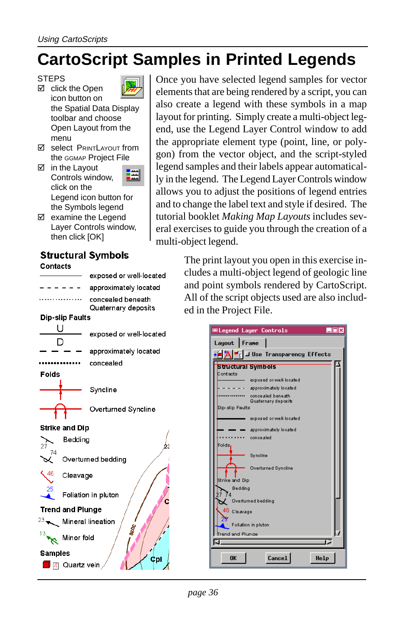## **CartoScript Samples in Printed Legends**

#### **STEPS**

- $\boxtimes$  click the Open icon button on the Spatial Data Display toolbar and choose Open Layout from the menu
- select PRINTLAYOUT from the GGMAP Project File
- $\boxtimes$  in the Layout Controls window, click on the Legend icon button for the Symbols legend
- $\boxtimes$  examine the Legend Layer Controls window, then click [OK]

### **Structural Symbols**

#### **Contacts**

exposed or well-located - - - - approximately located . . . . . . . . . . . . . . . . concealed beneath

Quaternary deposits

#### **Dip-slip Faults** U exposed or well-located D approximately located .............. concealed **Folds** Syncline Overturned Syncline **Strike and Dip** Bedding Overturned bedding 46 Cleavage Foliation in pluton **Trend and Plunge**  $23$  Mineral lineation  $-860$  $^{13}$  Minor fold **Samples**

 $\blacksquare$  4 Quartz vein

Once you have selected legend samples for vector elements that are being rendered by a script, you can also create a legend with these symbols in a map layout for printing. Simply create a multi-object legend, use the Legend Layer Control window to add the appropriate element type (point, line, or polygon) from the vector object, and the script-styled legend samples and their labels appear automatically in the legend. The Legend Layer Controls window allows you to adjust the positions of legend entries and to change the label text and style if desired. The tutorial booklet *Making Map Layouts* includes several exercises to guide you through the creation of a multi-object legend.

> The print layout you open in this exercise includes a multi-object legend of geologic line and point symbols rendered by CartoScript. All of the script objects used are also included in the Project File.

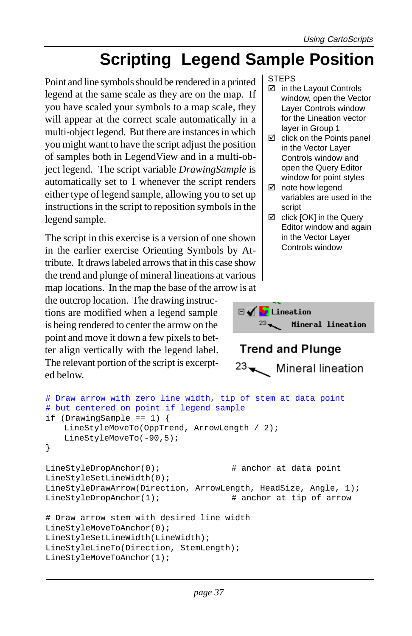## **Scripting Legend Sample Position**

Point and line symbols should be rendered in a printed legend at the same scale as they are on the map. If you have scaled your symbols to a map scale, they will appear at the correct scale automatically in a multi-object legend. But there are instances in which you might want to have the script adjust the position of samples both in LegendView and in a multi-object legend. The script variable *DrawingSample* is automatically set to 1 whenever the script renders either type of legend sample, allowing you to set up instructions in the script to reposition symbols in the legend sample.

The script in this exercise is a version of one shown in the earlier exercise Orienting Symbols by Attribute. It draws labeled arrows that in this case show the trend and plunge of mineral lineations at various map locations. In the map the base of the arrow is at

the outcrop location. The drawing instructions are modified when a legend sample is being rendered to center the arrow on the point and move it down a few pixels to better align vertically with the legend label. The relevant portion of the script is excerpted below.

**STEPS** 

- $\boxtimes$  in the Layout Controls window, open the Vector Layer Controls window for the Lineation vector layer in Group 1
- $\boxtimes$  click on the Points panel in the Vector Layer Controls window and open the Query Editor window for point styles
- note how legend variables are used in the script
- $\boxtimes$  click [OK] in the Query Editor window and again in the Vector Layer Controls window



### **Trend and Plunge** 23 Mineral lineation

```
# Draw arrow with zero line width, tip of stem at data point
# but centered on point if legend sample
if (DrawingSample == 1) {
    LineStyleMoveTo(OppTrend, ArrowLength / 2);
    LineStyleMoveTo(-90,5);
}
LineStyleDropAnchor(0); \qquad \qquad \qquad \qquad \qquad \qquad \qquad \qquad \qquad \qquad \qquad \text{and not at data point}LineStyleSetLineWidth(0);
LineStyleDrawArrow(Direction, ArrowLength, HeadSize, Angle, 1);
LineStyleDropAnchor(1); \qquad # anchor at tip of arrow
# Draw arrow stem with desired line width
LineStyleMoveToAnchor(0);
LineStyleSetLineWidth(LineWidth);
LineStyleLineTo(Direction, StemLength);
LineStyleMoveToAnchor(1);
```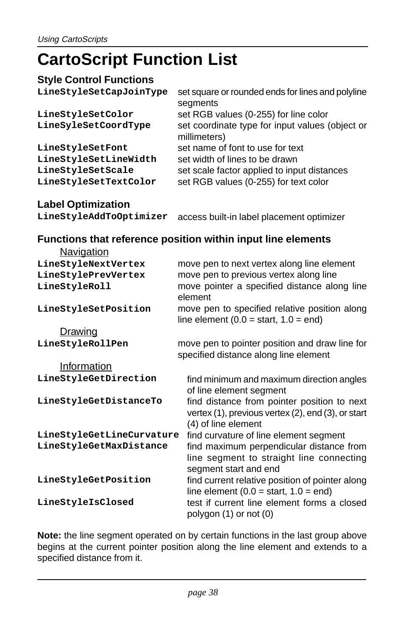# **CartoScript Function List**

#### **Style Control Functions**

| LineStyleSetCapJoinType | set square or rounded ends for lines and polyline<br>segments   |
|-------------------------|-----------------------------------------------------------------|
| LineStyleSetColor       | set RGB values (0-255) for line color                           |
| LineSyleSetCoordType    | set coordinate type for input values (object or<br>millimeters) |
| LineStyleSetFont        | set name of font to use for text                                |
| LineStyleSetLineWidth   | set width of lines to be drawn                                  |
| LineStyleSetScale       | set scale factor applied to input distances                     |
| LineStyleSetTextColor   | set RGB values (0-255) for text color                           |

#### **Label Optimization**

| LineStyleAddToOptimizer access built-in label placement optimizer |  |
|-------------------------------------------------------------------|--|
|                                                                   |  |

#### **Functions that reference position within input line elements**

| <b>Navigation</b>         |                                                                                                                          |
|---------------------------|--------------------------------------------------------------------------------------------------------------------------|
| LineStyleNextVertex       | move pen to next vertex along line element                                                                               |
| LineStylePrevVertex       | move pen to previous vertex along line                                                                                   |
| LineStyleRoll             | move pointer a specified distance along line<br>element                                                                  |
| LineStyleSetPosition      | move pen to specified relative position along<br>line element $(0.0 = start, 1.0 = end)$                                 |
| Drawing                   |                                                                                                                          |
| LineStyleRollPen          | move pen to pointer position and draw line for<br>specified distance along line element                                  |
| Information               |                                                                                                                          |
| LineStyleGetDirection     | find minimum and maximum direction angles<br>of line element segment                                                     |
| LineStyleGetDistanceTo    | find distance from pointer position to next<br>vertex (1), previous vertex (2), end (3), or start<br>(4) of line element |
| LineStyleGetLineCurvature | find curvature of line element segment                                                                                   |
| LineStyleGetMaxDistance   | find maximum perpendicular distance from<br>line segment to straight line connecting<br>segment start and end            |
| LineStyleGetPosition      | find current relative position of pointer along<br>line element $(0.0 = start, 1.0 = end)$                               |
| LineStyleIsClosed         | test if current line element forms a closed<br>polygon $(1)$ or not $(0)$                                                |

**Note:** the line segment operated on by certain functions in the last group above begins at the current pointer position along the line element and extends to a specified distance from it.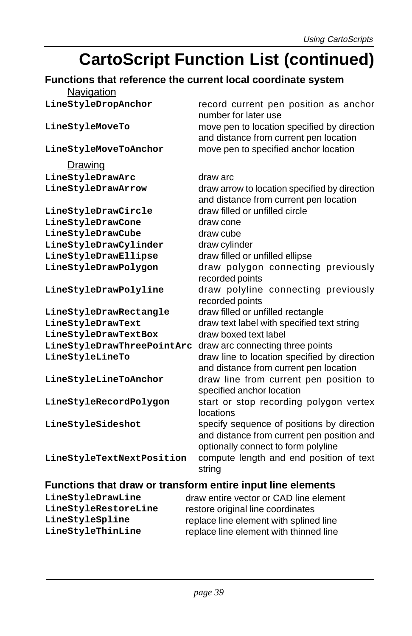## **CartoScript Function List (continued)**

### **Functions that reference the current local coordinate system**

| Navigation                                                  |                                                                                                                                 |
|-------------------------------------------------------------|---------------------------------------------------------------------------------------------------------------------------------|
| LineStyleDropAnchor                                         | record current pen position as anchor<br>number for later use                                                                   |
| LineStyleMoveTo                                             | move pen to location specified by direction<br>and distance from current pen location                                           |
| LineStyleMoveToAnchor                                       | move pen to specified anchor location                                                                                           |
| Drawing                                                     |                                                                                                                                 |
| LineStyleDrawArc                                            | draw arc                                                                                                                        |
| LineStyleDrawArrow                                          | draw arrow to location specified by direction<br>and distance from current pen location                                         |
| LineStyleDrawCircle                                         | draw filled or unfilled circle                                                                                                  |
| LineStyleDrawCone                                           | draw cone                                                                                                                       |
| LineStyleDrawCube                                           | draw cube                                                                                                                       |
| LineStyleDrawCylinder                                       | draw cylinder                                                                                                                   |
| LineStyleDrawEllipse                                        | draw filled or unfilled ellipse                                                                                                 |
| LineStyleDrawPolygon                                        | draw polygon connecting previously<br>recorded points                                                                           |
| LineStyleDrawPolyline                                       | draw polyline connecting previously<br>recorded points                                                                          |
| LineStyleDrawRectangle                                      | draw filled or unfilled rectangle                                                                                               |
| LineStyleDrawText                                           | draw text label with specified text string                                                                                      |
| LineStyleDrawTextBox                                        | draw boxed text label                                                                                                           |
| LineStyleDrawThreePointArc                                  | draw arc connecting three points                                                                                                |
| LineStyleLineTo                                             | draw line to location specified by direction<br>and distance from current pen location                                          |
| LineStyleLineToAnchor                                       | draw line from current pen position to<br>specified anchor location                                                             |
| LineStyleRecordPolygon                                      | start or stop recording polygon vertex<br>locations                                                                             |
| LineStyleSideshot                                           | specify sequence of positions by direction<br>and distance from current pen position and<br>optionally connect to form polyline |
| LineStyleTextNextPosition                                   | compute length and end position of text<br>string                                                                               |
| Eunctions that draw or transform ontiro innut line alements |                                                                                                                                 |

#### **Functions that draw or transform entire input line elements**

**LineStyleDrawLine LineStyleRestoreLine LineStyleSpline LineStyleThinLine**

draw entire vector or CAD line element restore original line coordinates replace line element with splined line replace line element with thinned line